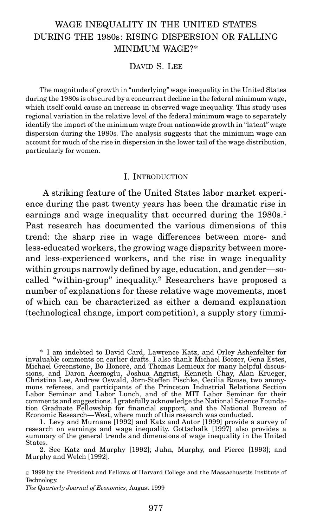# WAGE INEQUALITY IN THE UNITED STATES DURING THE 1980s: RISING DISPERSION OR FALLING MINIMUM WAGE?\*

DAVID S. LEE

The magnitude of growth in ''underlying'' wage inequality in the United States during the 1980s is obscured by a concurrent decline in the federal minimum wage, which itself could cause an increase in observed wage inequality. This study uses regional variation in the relative level of the federal minimum wage to separately identify the impact of the minimum wage from nationwide growth in ''latent'' wage dispersion during the 1980s. The analysis suggests that the minimum wage can account for much of the rise in dispersion in the lower tail of the wage distribution, particularly for women.

#### I. INTRODUCTION

A striking feature of the United States labor market experi ence during the past twenty years has been the dramatic rise in earnings and wage inequality that occurred during the 1980s.<sup>1</sup> Past research has documented the various dimensions of this trend: the sharp rise in wage differences between more- and less-educated workers, the growing wage disparity between more and less-experienced workers, and the rise in wage inequality within groups narrowly defined by age, education, and gender—socalled ''within-group'' inequality.<sup>2</sup> Researchers have proposed a number of explanations for these relative wage movements, most of which can be characterized as either a demand explanation (technological change, import competition), a supply story (immi-

\* I am indebted to David Card, Lawrence Katz, and Orley Ashenfelter for Michael Greenstone, Bo Honoré, and Thomas Lemieux for many helpful discussions, and Daron Acemoglu, Joshua Angrist, Kenneth Chay, Alan Krueger, Christina Lee, Andrew Oswald, Jörn-Steffen Pischke, Cecilia Rouse, two anony-<br>mous referees, and participants of the Princeton Industrial Relations Section Labor Seminar and Labor Lunch, and of the MIT Labor Seminar for their comments and suggestions. I gratefully acknowledge the National Science Founda-<br>tion Graduate Fellowship for financial support, and the National Bureau of Economic Research—West, where much of this research was conducted.

1. Levy and Murnane [1992] and Katz and Autor [1999] provide a survey of research on earnings and wage inequality. Gottschalk [1997] also provides a summary of the general trends and dimensions of wage inequality in the United States.

2. See Katz and Murphy [1992]; Juhn, Murphy, and Pierce [1993]; and Murphy and Welch [1992].

 $\circ$  1999 by the President and Fellows of Harvard College and the Massachusetts Institute of Technology.

*The Quarterly Journal of Economics,* August 1999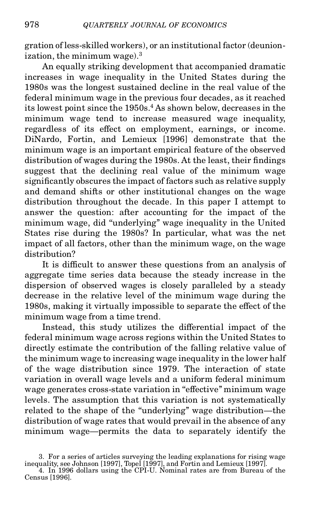gration of less-skilled workers), or an institutional factor (deunionization, the minimum wage).<sup>3</sup>

An equally striking development that accompanied dramatic increases in wage inequality in the United States during the 1980s was the longest sustained decline in the real value of the federal minimum wage in the previous four decades, as it reached its lowest point since the 1950s.<sup>4</sup> As shown below, decreases in the minimum wage tend to increase measured wage inequality, regardless of its effect on employment, earnings, or income. DiNardo, Fortin, and Lemieux [1996] demonstrate that the minimum wage is an important empirical feature of the observed distribution of wages during the 1980s. At the least, their findings suggest that the declining real value of the minimum wage significantly obscures the impact of factors such as relative supply and demand shifts or other institutional changes on the wage distribution throughout the decade. In this paper I attempt to answer the question: after accounting for the impact of the minimum wage, did ''underlying'' wage inequality in the United States rise during the 1980s? In particular, what was the net impact of all factors, other than the minimum wage, on the wage distribution?

It is difficult to answer these questions from an analysis of aggregate time series data because the steady increase in the dispersion of observed wages is closely paralleled by a steady decrease in the relative level of the minimum wage during the 1980s, making it virtually impossible to separate the effect of the minimum wage from a time trend.

Instead, this study utilizes the differential impact of the federal minimum wage across regions within the United States to directly estimate the contribution of the falling relative value of the minimum wage to increasing wage inequality in the lower half of the wage distribution since 1979. The interaction of state variation in overall wage levels and a uniform federal minimum wage generates cross-state variation in "effective" minimum wage levels. The assumption that this variation is not systematically related to the shape of the ''underlying'' wage distribution—the distribution of wage rates that would prevail in the absence of any minimum wage—permits the data to separately identify the

<sup>3.</sup> For a series of articles surveying the leading explanations for rising wage<br>inequality, see Johnson [1997], Topel [1997], and Fortin and Lemieux [1997].<br>4. In 1996 dollars using the CPI-U. Nominal rates are from Bureau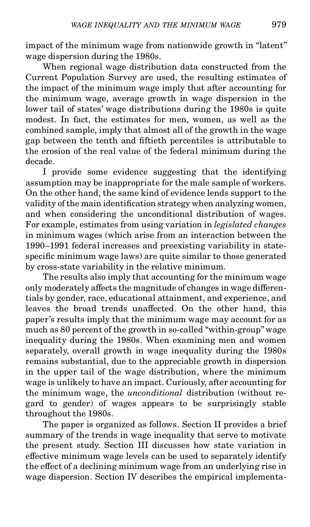impact of the minimum wage from nationwide growth in ''latent'' wage dispersion during the 1980s.

When regional wage distribution data constructed from the Current Population Survey are used, the resulting estimates of the impact of the minimum wage imply that after accounting for the minimum wage, average growth in wage dispersion in the lower tail of states' wage distributions during the 1980s is quite modest. In fact, the estimates for men, women, as well as the combined sample, imply that almost all of the growth in the wage gap between the tenth and ftieth percentiles is attributable to the erosion of the real value of the federal minimum during the decade.

I provide some evidence suggesting that the identifying assumption may be inappropriate for the male sample of workers. On the other hand, the same kind of evidence lends support to the validity of the main identification strategy when analyzing women, and when considering the unconditional distribution of wages. For example, estimates from using variation in *legislated changes* in minimum wages (which arise from an interaction between the 1990–1991 federal increases and preexisting variability in state specific minimum wage laws) are quite similar to those generated by cross-state variability in the relative minimum.

The results also imply that accounting for the minimum wage only moderately affects the magnitude of changes in wage differentials by gender, race, educational attainment, and experience, and leaves the broad trends unaffected. On the other hand, this paper's results imply that the minimum wage may account for as much as 80 percent of the growth in so-called "within-group" wage inequality during the 1980s. When examining men and women separately, overall growth in wage inequality during the 1980s remains substantial, due to the appreciable growth in dispersion in the upper tail of the wage distribution, where the minimum wage is unlikely to have an impact. Curiously, after accounting for the minimum wage, the *unconditional* distribution (without re gard to gender) of wages appears to be surprisingly stable throughout the 1980s.

The paper is organized as follows. Section II provides a brief summary of the trends in wage inequality that serve to motivate the present study. Section III discusses how state variation in effective minimum wage levels can be used to separately identify the effect of a declining minimum wage from an underlying rise in wage dispersion. Section IV describes the empirical implementa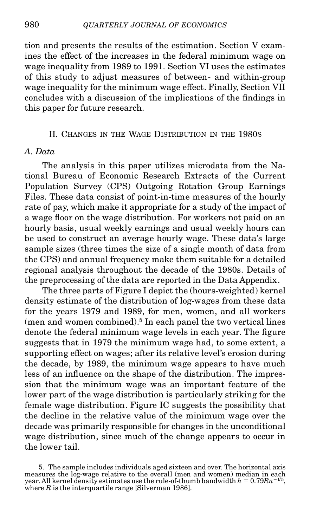tion and presents the results of the estimation. Section V examines the effect of the increases in the federal minimum wage on wage inequality from 1989 to 1991. Section VI uses the estimates of this study to adjust measures of between- and within-group wage inequality for the minimum wage effect. Finally, Section VII concludes with a discussion of the implications of the findings in this paper for future research.

#### II. CHANGES IN THE WAGE DISTRIBUTION IN THE 1980S

# *A. Data*

The analysis in this paper utilizes microdata from the National Bureau of Economic Research Extracts of the Current Population Survey (CPS) Outgoing Rotation Group Earnings Files. These data consist of point-in-time measures of the hourly rate of pay, which make it appropriate for a study of the impact of a wage floor on the wage distribution. For workers not paid on an hourly basis, usual weekly earnings and usual weekly hours can be used to construct an average hourly wage. These data's large sample sizes (three times the size of a single month of data from the CPS) and annual frequency make them suitable for a detailed regional analysis throughout the decade of the 1980s. Details of the preprocessing of the data are reported in the Data Appendix.

The three parts of Figure I depict the (hours-weighted) kernel density estimate of the distribution of log-wages from these data for the years 1979 and 1989, for men, women, and all workers (men and women combined).<sup>5</sup> In each panel the two vertical lines denote the federal minimum wage levels in each year. The figure suggests that in 1979 the minimum wage had, to some extent, a supporting effect on wages; after its relative level's erosion during the decade, by 1989, the minimum wage appears to have much less of an influence on the shape of the distribution. The impression that the minimum wage was an important feature of the lower part of the wage distribution is particularly striking for the female wage distribution. Figure IC suggests the possibility that the decline in the relative value of the minimum wage over the decade was primarily responsible for changes in the unconditional wage distribution, since much of the change appears to occur in the lower tail.

<sup>5.</sup> The sample includes individuals aged sixteen and over. The horizontal axis measures the log-wage relative to the overall (men and women) median in each year. All kernel density estimates use the rule-of-thumb bandwidth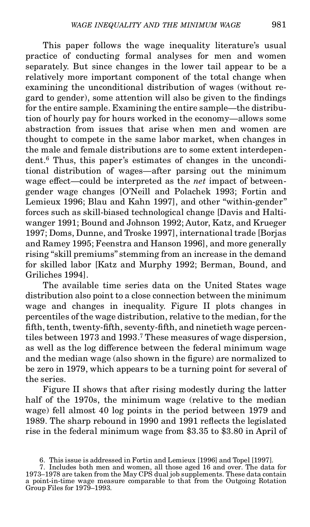This paper follows the wage inequality literature's usual practice of conducting formal analyses for men and women separately. But since changes in the lower tail appear to be a relatively more important component of the total change when examining the unconditional distribution of wages (without re gard to gender), some attention will also be given to the findings for the entire sample. Examining the entire sample—the distribution of hourly pay for hours worked in the economy—allows some abstraction from issues that arise when men and women are thought to compete in the same labor market, when changes in the male and female distributions are to some extent interdepen dent.<sup>6</sup> Thus, this paper's estimates of changes in the unconditional distribution of wages—after parsing out the minimum wage effect—could be interpreted as the *net* impact of between gender wage changes [O'Neill and Polachek 1993; Fortin and Lemieux 1996; Blau and Kahn 1997], and other ''within-gender'' forces such as skill-biased technological change [Davis and Halti wanger 1991; Bound and Johnson 1992; Autor, Katz, and Krueger 1997; Doms, Dunne, and Troske 1997], international trade [Borjas and Ramey 1995; Feenstra and Hanson 1996], and more generally rising ''skill premiums'' stemming from an increase in the demand for skilled labor [Katz and Murphy 1992; Berman, Bound, and Griliches 1994].

The available time series data on the United States wage distribution also point to a close connection between the minimum wage and changes in inequality. Figure II plots changes in percentiles of the wage distribution, relative to the median, for the fifth, tenth, twenty-fifth, seventy-fifth, and ninetieth wage percentiles between 1973 and 1993.<sup>7</sup> These measures of wage dispersion, as well as the log difference between the federal minimum wage and the median wage (also shown in the figure) are normalized to be zero in 1979, which appears to be a turning point for several of the series.

Figure II shows that after rising modestly during the latter half of the 1970s, the minimum wage (relative to the median wage) fell almost 40 log points in the period between 1979 and 1989. The sharp rebound in 1990 and 1991 reflects the legislated rise in the federal minimum wage from \$3.35 to \$3.80 in April of

<sup>6.</sup> This issue is addressed in Fortin and Lemieux [1996] and Topel [1997].

<sup>7.</sup> Includes both men and women, all those aged <sup>16</sup> and over. The data for 1973–1978 are taken from the May CPS dual job supplements. These data contain <sup>a</sup> point-in-time wage measure comparable to that from the Outgoing Rotation Group Files for 1979–1993.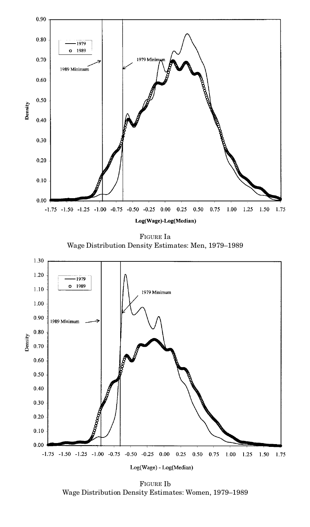

FIGURE Ib Wage Distribution Density Estimates: Women, 1979–1989

Log(Wage) - Log(Median)

0.75

 $1.00$ 

1.25 1.50 1.75

 $-1.75$   $-1.50$   $-1.25$   $-1.00$   $-0.75$   $-0.50$   $-0.25$   $0.00$   $0.25$   $0.50$ 

 $0.20$  $0.10$  $0.00$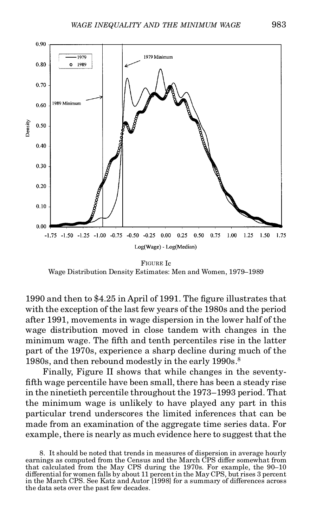

FIGURE Ic Wage Distribution Density Estimates: Men and Women, 1979–1989

1990 and then to \$4.25 in April of 1991. The figure illustrates that with the exception of the last few years of the 1980s and the period after 1991, movements in wage dispersion in the lower half of the wage distribution moved in close tandem with changes in the minimum wage. The fifth and tenth percentiles rise in the latter part of the 1970s, experience a sharp decline during much of the 1980s, and then rebound modestly in the early 1990s.<sup>8</sup>

Finally, Figure II shows that while changes in the seventy fth wage percentile have been small, there has been a steady rise in the ninetieth percentile throughout the 1973–1993 period. That the minimum wage is unlikely to have played any part in this particular trend underscores the limited inferences that can be made from an examination of the aggregate time series data. For example, there is nearly as much evidence here to suggest that the

<sup>8.</sup> It should be noted that trends in measures of dispersion in average hourly earnings as computed from the Census and the March CPS differ somewhat from that calculated from the May CPS during the 1970s. For example, the 90–10 differential for women falls by about 11 percentin the May CPS, but rises 3 percent in the March CPS. See Katz and Autor [1998] for a summary of differences across the data sets over the past few decades.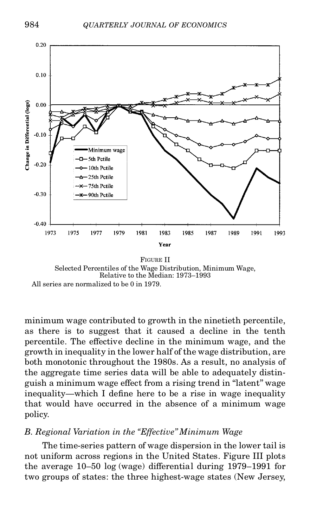

Selected Percentiles of the Wage Distribution, Minimum Wage, Relative to the Median: 1973–1993 All series are normalized to be 0 in 1979.

minimum wage contributed to growth in the ninetieth percentile, as there is to suggest that it caused a decline in the tenth percentile. The effective decline in the minimum wage, and the growth in inequality in the lower half of the wage distribution, are both monotonic throughout the 1980s. As a result, no analysis of the aggregate time series data will be able to adequately distin guish a minimum wage effect from a rising trend in ''latent'' wage inequality—which I define here to be a rise in wage inequality that would have occurred in the absence of a minimum wage policy.

#### *B. Regional Variation in the ''Effective'' Minimum Wage*

The time-series pattern of wage dispersion in the lower tail is not uniform across regions in the United States. Figure III plots the average 10–50 log (wage) differential during 1979–1991 for two groups of states: the three highest-wage states (New Jersey,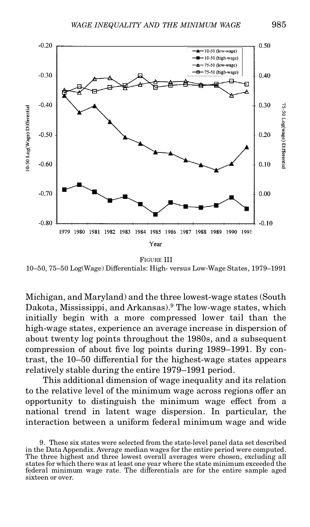

FIGURE III

10–50, 75–50 Log(Wage) Differentials: High- versus Low-Wage States, 1979–1991

Michigan, and Maryland) and the three lowest-wage states (South Dakota, Mississippi, and Arkansas).<sup>9</sup> The low-wage states, which initially begin with a more compressed lower tail than the high-wage states, experience an average increase in dispersion of about twenty log points throughout the 1980s, and a subsequent compression of about five log points during 1989–1991. By contrast, the 10–50 differential for the highest-wage states appears relatively stable during the entire 1979–1991 period.

This additional dimension of wage inequality and its relation to the relative level of the minimum wage across regions offer an opportunity to distinguish the minimum wage effect from a national trend in latent wage dispersion. In particular, the interaction between a uniform federal minimum wage and wide

<sup>9.</sup> These six states were selected from the state-level panel data set described in the Data Appendix. Average median wages for the entire period were computed. The three highest and three lowest overall averages were chosen, excluding all states for which there was at least one year where the state minimum exceeded the federal minimum wage rate. The differentials are for the entire sample aged sixteen or over.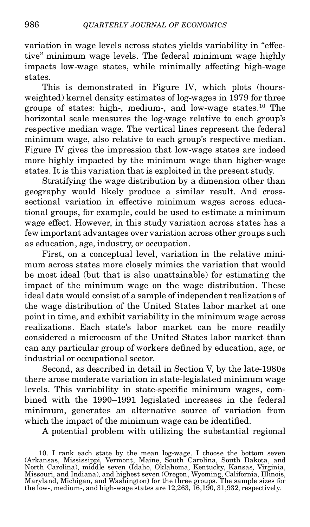variation in wage levels across states yields variability in "effective'' minimum wage levels. The federal minimum wage highly impacts low-wage states, while minimally affecting high-wage states.

This is demonstrated in Figure IV, which plots (hours weighted) kernel density estimates of log-wages in 1979 for three groups of states: high-, medium-, and low-wage states.<sup>10</sup> The horizontal scale measures the log-wage relative to each group's respective median wage. The vertical lines represent the federal minimum wage, also relative to each group's respective median. Figure IV gives the impression that low-wage states are indeed more highly impacted by the minimum wage than higher-wage states. It is this variation that is exploited in the present study.

Stratifying the wage distribution by a dimension other than geography would likely produce a similar result. And cross sectional variation in effective minimum wages across educational groups, for example, could be used to estimate a minimum wage effect. However, in this study variation across states has a few important advantages over variation across other groups such as education, age, industry, or occupation.

First, on a conceptual level, variation in the relative mini mum across states more closely mimics the variation that would be most ideal (but that is also unattainable) for estimating the impact of the minimum wage on the wage distribution. These ideal data would consist of a sample of independent realizations of the wage distribution of the United States labor market at one point in time, and exhibit variability in the minimum wage across realizations. Each state's labor market can be more readily considered a microcosm of the United States labor market than can any particular group of workers defined by education, age, or industrial or occupational sector.

Second, as described in detail in Section V, by the late-1980s there arose moderate variation in state-legislated minimum wage levels. This variability in state-specific minimum wages, combined with the 1990–1991 legislated increases in the federal minimum, generates an alternative source of variation from which the impact of the minimum wage can be identified.

A potential problem with utilizing the substantial regional

<sup>10.</sup> I rank each state by the mean log-wage. I choose the bottom seven (Arkansas, Mississippi, Vermont, Maine, South Carolina, South Dakota, and North Carolina), middle seven (Idaho, Oklahoma, Kentucky, Kansas, Virginia,<br>Missouri, and Indiana), and highest seven (Oregon, Wyoming, California, Illinois,<br>Maryland, Michigan, and Washington) for the three groups. The sa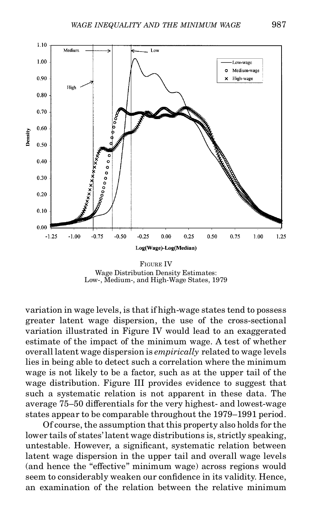

FIGURE IV Wage Distribution Density Estimates: Low-, Medium-, and High-Wage States, 1979

variation in wage levels, is that if high-wage states tend to possess greater latent wage dispersion, the use of the cross-sectional variation illustrated in Figure IV would lead to an exaggerated estimate of the impact of the minimum wage. A test of whether overall latent wage dispersion is *empirically* related to wage levels lies in being able to detect such a correlation where the minimum wage is not likely to be a factor, such as at the upper tail of the wage distribution. Figure III provides evidence to suggest that such a systematic relation is not apparent in these data. The average 75–50 differentials for the very highest- and lowest-wage states appear to be comparable throughout the 1979–1991 period.

Of course, the assumption that this property also holds for the lower tails of states' latent wage distributions is, strictly speaking, untestable. However, a significant, systematic relation between latent wage dispersion in the upper tail and overall wage levels (and hence the ''effective'' minimum wage) across regions would seem to considerably weaken our confidence in its validity. Hence, an examination of the relation between the relative minimum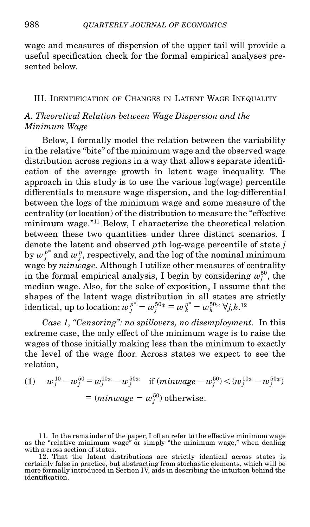wage and measures of dispersion of the upper tail will provide a useful specification check for the formal empirical analyses presented below.

#### III. IDENTIFICATION OF CHANGES IN LATENT WAGE INEQUALITY

# *A. Theoretical Relation between Wage Dispersion and the Minimum Wage*

Below, I formally model the relation between the variability in the relative "bite" of the minimum wage and the observed wage distribution across regions in a way that allows separate identification of the average growth in latent wage inequality. The approach in this study is to use the various log(wage) percentile differentials to measure wage dispersion, and the log-differential between the logs of the minimum wage and some measure of the centrality (or location) of the distribution to measure the ''effective minimum wage."<sup>11</sup> Below, I characterize the theoretical relation between these two quantities under three distinct scenarios. I denote the latent and observed *p*th log-wage percentile of state *j* by  $w_{j}^{p^{*}}$  and  $w_{j}^{p}$ , respectively, and the log of the nominal minimum wage by *minwage*. Although I utilize other measures of centrality in the formal empirical analysis, I begin by considering  $w_j^{50}$ , the median wage. Also, for the sake of exposition, I assume that the shapes of the latent wage distribution in all states are strictly  ${\rm identical, \, up \, to \, location \colon} w_{\,j}^{\,p^{\ast}} - w_{j}^{\,50\ast} = w_{\,k}^{\,p^{\ast}} - w_{k}^{\,50\ast} \, \forall j,k.^{12}$ 

*Case 1, ''Censoring'': no spillovers, no disemployment.* In this extreme case, the only effect of the minimum wage is to raise the wages of those initially making less than the minimum to exactly the level of the wage floor. Across states we expect to see the relation,

(1) 
$$
w_j^{10} - w_j^{50} = w_j^{10*} - w_j^{50*}
$$
 if  $(minwage - w_j^{50}) < (w_j^{10*} - w_j^{50*})$   
=  $(minwage - w_j^{50})$  otherwise.

11. In the remainder of the paper, I often refer to the effective minimum wage as the "relative minimum wage" or simply "the minimum wage," when dealing with a cross section of states.

12. That the latent distributions are strictly identical across states is<br>certainly false in practice, but abstracting from stochastic elements, which will be<br>more formally introduced in Section IV, aids in describing the identification.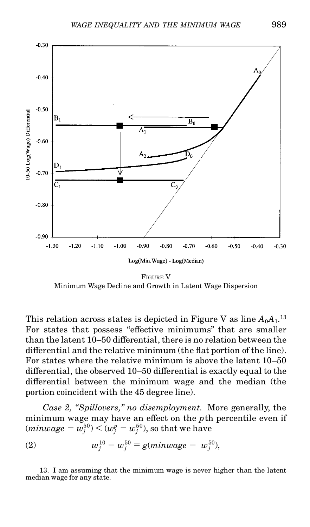

FIGURE V Minimum Wage Decline and Growth in Latent Wage Dispersion

This relation across states is depicted in Figure V as line  $A_0A_1$ .<sup>13</sup> For states that possess "effective minimums" that are smaller than the latent 10–50 differential, there is no relation between the differential and the relative minimum (the flat portion of the line). For states where the relative minimum is above the latent 10–50 differential, the observed 10–50 differential is exactly equal to the differential between the minimum wage and the median (the portion coincident with the 45 degree line).

*Case 2, ''Spillovers,'' no disemployment.* More generally, the minimum wage may have an effect on the *p*th percentile even if  $(\textit{minwage} - w_j^{50})$   $<$   $(w_j^p - w_j^{50})$ , so that we have

(2) 
$$
w_j^{10} - w_j^{50} = g(minwage - w_j^{50}),
$$

13. I am assuming that the minimum wage is never higher than the latent median wage for any state.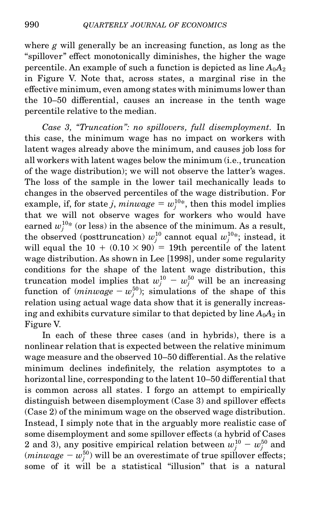where *g* will generally be an increasing function, as long as the "spillover" effect monotonically diminishes, the higher the wage percentile. An example of such a function is depicted as line  $A_0A_2$ in Figure V. Note that, across states, a marginal rise in the effective minimum, even among states with minimums lower than the 10–50 differential, causes an increase in the tenth wage percentile relative to the median.

*Case 3, ''Truncation'': no spillovers, full disemployment.* In this case, the minimum wage has no impact on workers with latent wages already above the minimum, and causes job loss for all workers with latent wages below the minimum (i.e., truncation of the wage distribution); we will not observe the latter's wages. The loss of the sample in the lower tail mechanically leads to changes in the observed percentiles of the wage distribution. For example, if, for state *j*,  $minwage = w_j^{10*}$ , then this model implies that we will not observe wages for workers who would have earned  $w_j^{10*}$  (or less) in the absence of the minimum. As a result, the observed (posttruncation)  $w_j^{10}$  cannot equal  $w_j^{10*}$ ; instead, it will equal the  $10 + (0.10 \times 90) = 19$ th percentile of the latent wage distribution. As shown in Lee [1998], under some regularity conditions for the shape of the latent wage distribution, this truncation model implies that  $w_j^{10} - w_j^{50}$  will be an increasing function of  $(min wage - w_j^{50})$ ; simulations of the shape of this relation using actual wage data show that it is generally increasing and exhibits curvature similar to that depicted by line  $A_0A_2$  in Figure V.

In each of these three cases (and in hybrids), there is a nonlinear relation that is expected between the relative minimum wage measure and the observed 10–50 differential. As the relative minimum declines indefinitely, the relation asymptotes to a horizontal line, corresponding to the latent 10–50 differential that is common across all states. I forgo an attempt to empirically distinguish between disemployment (Case 3) and spillover effects (Case 2) of the minimum wage on the observed wage distribution. Instead, I simply note that in the arguably more realistic case of some disemployment and some spillover effects (a hybrid of Cases 2 and 3), any positive empirical relation between  $w_j^{10} = w_j^{50}$  and  $(min wage - w_j^{50})$  will be an overestimate of true spillover effects; some of it will be a statistical ''illusion'' that is a natural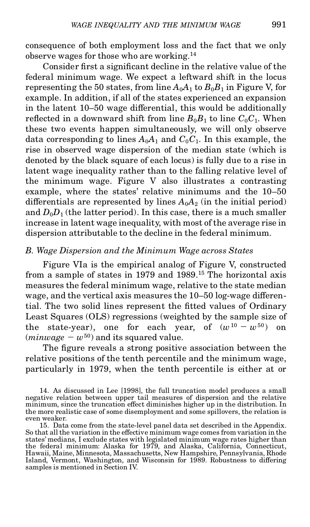consequence of both employment loss and the fact that we only observe wages for those who are working.<sup>14</sup>

Consider first a significant decline in the relative value of the federal minimum wage. We expect a leftward shift in the locus representing the 50 states, from line  $A_0A_1$  to  $B_0B_1$  in Figure V, for example. In addition, if all of the states experienced an expansion in the latent 10–50 wage differential, this would be additionally reflected in a downward shift from line  $B_0B_1$  to line  $C_0C_1$ . When these two events happen simultaneously, we will only observe data corresponding to lines  $A_0A_1$  and  $C_0C_1$ . In this example, the rise in observed wage dispersion of the median state (which is denoted by the black square of each locus) is fully due to a rise in latent wage inequality rather than to the falling relative level of the minimum wage. Figure V also illustrates a contrasting example, where the states' relative minimums and the 10–50 differentials are represented by lines  $A_0A_2$  (in the initial period) and  $D_0D_1$  (the latter period). In this case, there is a much smaller increase in latent wage inequality, with most of the average rise in dispersion attributable to the decline in the federal minimum.

# *B. Wage Dispersion and the Minimum Wage across States*

Figure VIa is the empirical analog of Figure V, constructed from a sample of states in 1979 and 1989.<sup>15</sup> The horizontal axis measures the federal minimum wage, relative to the state median wage, and the vertical axis measures the 10–50 log-wage differential. The two solid lines represent the fitted values of Ordinary Least Squares (OLS) regressions (weighted by the sample size of the state-year), one for each year, of  $(w^{10} - w^{50})$  on  $(min wage - w^{50})$  and its squared value.

The figure reveals a strong positive association between the relative positions of the tenth percentile and the minimum wage, particularly in 1979, when the tenth percentile is either at or

<sup>14.</sup> As discussed in Lee [1998], the full truncation model produces a small negative relation between upper tail measures of dispersion and the relative minimum, since the truncation effect diminishes higher up in the distribution. In the more realistic case of some disemployment and some spillovers, the relation is

<sup>15.</sup> Data come from the state-level panel data set described in the Appendix. So that all the variation in the effective minimum wage comes from variation in the states' medians, I exclude states with legislated minimum wage rates higher than the federal minimum: Alaska for 1979, and Alaska, California, Connecticut,<br>Hawaii,Maine,Minnesota,Massachusetts,New Hampshire,Pennsylvania,Rhode<br>Island, Vermont, Washington, and Wisconsin for 1989. Robustness to differing samples is mentioned in Section IV.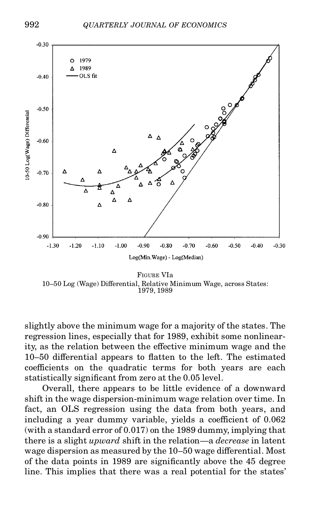

FIGURE VIa 10–50 Log (Wage) Differential, Relative Minimum Wage, across States: 1979, <sup>1989</sup>

slightly above the minimum wage for a majority of the states. The regression lines, especially that for 1989, exhibit some nonlinearity, as the relation between the effective minimum wage and the 10–50 differential appears to flatten to the left. The estimated coefficients on the quadratic terms for both years are each statistically significant from zero at the 0.05 level.

Overall, there appears to be little evidence of a downward shift in the wage dispersion-minimum wage relation over time. In fact, an OLS regression using the data from both years, and including a year dummy variable, yields a coefficient of 0.062 (with a standard error of 0.017) on the 1989 dummy, implying that there is a slight *upward* shift in the relation—a *decrease* in latent wage dispersion as measured by the 10–50 wage differential. Most of the data points in 1989 are signicantly above the 45 degree line. This implies that there was a real potential for the states'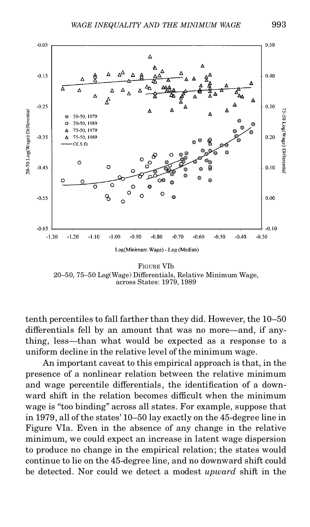

FIGURE VIb 20–50, 75–50 Log(Wage) Differentials, Relative Minimum Wage, across States: 1979, <sup>1989</sup>

tenth percentiles to fall farther than they did. However, the 10–50 differentials fell by an amount that was no more—and, if anything, less—than what would be expected as a response to a uniform decline in the relative level of the minimum wage.

An important caveat to this empirical approach is that, in the presence of a nonlinear relation between the relative minimum and wage percentile differentials, the identification of a downward shift in the relation becomes difficult when the minimum wage is "too binding" across all states. For example, suppose that in 1979, all of the states' 10–50 lay exactly on the 45-degree line in Figure VIa. Even in the absence of any change in the relative minimum, we could expect an increase in latent wage dispersion to produce no change in the empirical relation; the states would continue to lie on the 45-degree line, and no downward shift could be detected. Nor could we detect a modest *upward* shift in the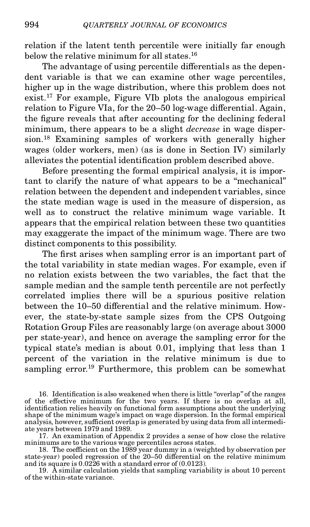relation if the latent tenth percentile were initially far enough below the relative minimum for all states.<sup>16</sup>

The advantage of using percentile differentials as the depen dent variable is that we can examine other wage percentiles, higher up in the wage distribution, where this problem does not exist.<sup>17</sup> For example, Figure VIb plots the analogous empirical relation to Figure VIa, for the 20–50 log-wage differential. Again, the figure reveals that after accounting for the declining federal minimum, there appears to be a slight *decrease* in wage disper sion.<sup>18</sup> Examining samples of workers with generally higher wages (older workers, men) (as is done in Section IV) similarly alleviates the potential identification problem described above.

Before presenting the formal empirical analysis, it is important to clarify the nature of what appears to be a ''mechanical'' relation between the dependent and independent variables, since the state median wage is used in the measure of dispersion, as well as to construct the relative minimum wage variable. It appears that the empirical relation between these two quantities may exaggerate the impact of the minimum wage. There are two distinct components to this possibility.

The first arises when sampling error is an important part of the total variability in state median wages. For example, even if no relation exists between the two variables, the fact that the sample median and the sample tenth percentile are not perfectly correlated implies there will be a spurious positive relation between the 10–50 differential and the relative minimum. How ever, the state-by-state sample sizes from the CPS Outgoing Rotation Group Files are reasonably large (on average about 3000 per state-year), and hence on average the sampling error for the typical state's median is about 0.01, implying that less than 1 percent of the variation in the relative minimum is due to sampling error.<sup>19</sup> Furthermore, this problem can be somewhat

16. Identification is also weakened when there is little "overlap" of the ranges of the effective minimum for the two years. If there is no overlap at all, identication relies heavily on functional form assumptions about the underlying shape of the minimum wage's impact on wage dispersion. In the formal empirical analysis, however, sufficient overlap is generated by using data from all intermedi-

17. An examination of Appendix 2 provides a sense of how close the relative minimums are to the various wage percentiles across states. 18. The coefficient on the <sup>1989</sup> year dummy in <sup>a</sup> (weighted by observation per

state-year) pooled regression of the 20–50 differential on the relative minimum

19. A similar calculation yields that sampling variability is about 10 percent of the within-state variance.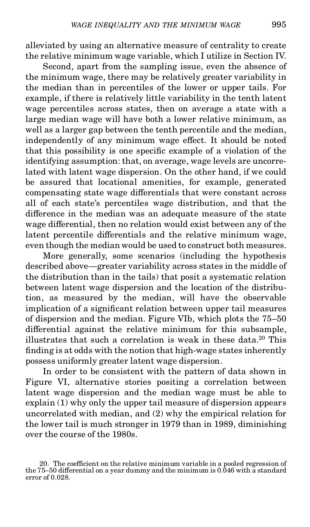alleviated by using an alternative measure of centrality to create the relative minimum wage variable, which I utilize in Section IV.

Second, apart from the sampling issue, even the absence of the minimum wage, there may be relatively greater variability in the median than in percentiles of the lower or upper tails. For example, if there is relatively little variability in the tenth latent wage percentiles across states, then on average a state with a large median wage will have both a lower relative minimum, as well as a larger gap between the tenth percentile and the median, independently of any minimum wage effect. It should be noted that this possibility is one specific example of a violation of the identifying assumption: that, on average, wage levels are uncorrelated with latent wage dispersion. On the other hand, if we could be assured that locational amenities, for example, generated compensating state wage differentials that were constant across all of each state's percentiles wage distribution, and that the difference in the median was an adequate measure of the state wage differential, then no relation would exist between any of the latent percentile differentials and the relative minimum wage, even though the median would be used to construct both measures.

More generally, some scenarios (including the hypothesis described above—greater variability across states in the middle of the distribution than in the tails) that posit a systematic relation between latent wage dispersion and the location of the distribution, as measured by the median, will have the observable implication of a significant relation between upper tail measures of dispersion and the median. Figure VIb, which plots the 75–50 differential against the relative minimum for this subsample, illustrates that such a correlation is weak in these data.<sup>20</sup> This finding is at odds with the notion that high-wage states inherently possess uniformly greater latent wage dispersion.

In order to be consistent with the pattern of data shown in Figure VI, alternative stories positing a correlation between latent wage dispersion and the median wage must be able to explain (1) why only the upper tail measure of dispersion appears uncorrelated with median, and (2) why the empirical relation for the lower tail is much stronger in 1979 than in 1989, diminishing over the course of the 1980s.

<sup>20.</sup> The coefficient on the relative minimum variable in a pooled regression of the 75–50 differential on a year dummy and the minimum is 0.046 with a standard error of 0.028.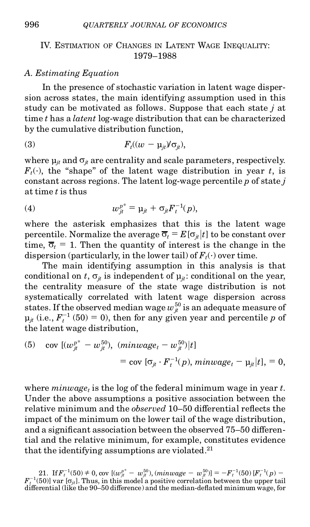# IV. ESTIMATION OF CHANGES IN LATENT WAGE INEQUALITY: 1979–1988

### *A. Estimating Equation*

In the presence of stochastic variation in latent wage disper sion across states, the main identifying assumption used in this study can be motivated as follows. Suppose that each state *j* at time *t* has a *latent* log-wage distribution that can be characterized by the cumulative distribution function,

$$
(3) \t\t\t F_t((w - \mu_{jt})/\sigma_{jt}),
$$

where  $\mu_{jt}$  and  $\sigma_{jt}$  are centrality and scale parameters, respectively.  $F_t(\cdot)$ , the "shape" of the latent wage distribution in year *t*, is constant across regions. The latent log-wage percentile *p* of state *j* at time *t* is thus

(4) 
$$
w_{jt}^{p^*} = \mu_{jt} + \sigma_{jt} F_t^{-1}(p),
$$

where the asterisk emphasizes that this is the latent wage percentile. Normalize the average  $\overline{\sigma}_t = E[\sigma_{it}|t]$  to be constant over time,  $\overline{\sigma}_t = 1$ . Then the quantity of interest is the change in the dispersion (particularly, in the lower tail) of  $F_t(\cdot)$  over time.

The main identifying assumption in this analysis is that conditional on *t*,  $\sigma_{it}$  is independent of  $\mu_{it}$ : conditional on the year, the centrality measure of the state wage distribution is not systematically correlated with latent wage dispersion across states. If the observed median wage  $w_{j t}^{50}$  is an adequate measure of  $\mu_{jt}$  (i.e.,  $F_t^{-1}$  (50) = 0), then for any given year and percentile *p* of the latent wage distribution,

(5) cov 
$$
[(w_{jt}^{p^*} - w_{jt}^{50}), (minwage_t - w_{jt}^{50})|t]
$$
  
= cov  $[\sigma_{jt} \cdot F_t^{-1}(p), minwage_t - \mu_{jt}|t]$ , = 0,

where *minwage<sup>t</sup>* is the log of the federal minimum wage in year *t*. Under the above assumptions a positive association between the relative minimum and the *observed* 10–50 differential reflects the impact of the minimum on the lower tail of the wage distribution, and a significant association between the observed 75–50 differential and the relative minimum, for example, constitutes evidence that the identifying assumptions are violated. $21$ 

21. If  $F_t^{-1}(50) \neq 0$ , cov  $[(w_{ji}^{p^*} - w_{ji}^{50})$ ,  $minwage - w_{ji}^{50})] = -F_t^{-1}(50) [F_t^{-1}(p) - F_t^{-1}(50)]$  var  $[\sigma_{ji}]$ . Thus, in this model a positive correlation between the upper tail differential (like the 90–50 difference) and the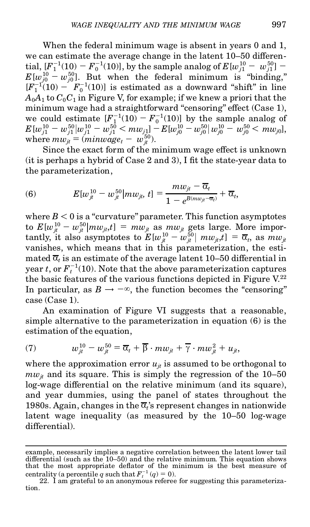When the federal minimum wage is absent in years 0 and 1, we can estimate the average change in the latent 10–50 differen- $\text{trial}, [F_1^{-1}(10) - F_0^{-1}(10)], \text{by the sample analog of } E[w_{j1}^{10} - w_{j1}^{50}]$  $E[w_{j0}^{10} - w_{j0}^{50}]$ . But when the federal minimum is "binding,"  $[F_1^{-1}(10) - F_0^{-1}(10)]$  is estimated as a downward "shift" in line  $A_0A_1$  to  $C_0C_1$  in Figure V, for example; if we knew a priori that the minimum wage had a straightforward "censoring" effect (Case 1), we could estimate  $[F_1^{-1}(10) - F_0^{-1}(10)]$  by the sample analog of  $E[w_{j1}^{10}-w_{j1}^{50}]w_{j1}^{10}-w_{j1}^{50}\le m w_{j1}]-E[w_{j0}^{10}-w_{j0}^{50}]w_{j0}^{10}-w_{j0}^{50}\le m w_{j0}],$ where  $mw_{jt} = (minwage_t - w_{jt}^{50}).$ 

Since the exact form of the minimum wage effect is unknown (it is perhaps a hybrid of Case  $2$  and  $3$ ), I fit the state-year data to the parameterization,

(6) 
$$
E[w_{jt}^{10} - w_{jt}^{50}|mw_{jt}, t] = \frac{mw_{jt} - \overline{\alpha}_t}{1 - e^{B(mw_{jt} - \overline{\alpha}_t)}} + \overline{\alpha}_t,
$$

where  $B < 0$  is a "curvature" parameter. This function asymptotes to  $E[w_{jt}^{10} - w_{jt}^{50}] m w_{jt}, t] = m w_{jt}$  as  $m w_{jt}$  gets large. More importantly, it also asymptotes to  $E[w_{jt}^{10} - w_{jt}^{50}]$   $mw_{jt}$ ,  $f = \overline{\alpha}_t$ , as  $mw_{jt}$ vanishes, which means that in this parameterization, the esti mated  $\overline{\alpha}_t$  is an estimate of the average latent 10–50 differential in year *t*, or  $F_t^{-1}(10)$ . Note that the above parameterization captures the basic features of the various functions depicted in Figure V.<sup>22</sup> In particular, as  $B \to -\infty$ , the function becomes the "censoring" case (Case 1).

An examination of Figure VI suggests that a reasonable, simple alternative to the parameterization in equation (6) is the estimation of the equation,

(7) 
$$
w_{jt}^{10} - w_{jt}^{50} = \overline{\alpha}_t + \overline{\beta} \cdot m w_{jt} + \overline{\gamma} \cdot m w_{jt}^2 + u_{jt},
$$

where the approximation error  $u_{it}$  is assumed to be orthogonal to  $mw_{it}$  and its square. This is simply the regression of the  $10-50$ log-wage differential on the relative minimum (and its square), and year dummies, using the panel of states throughout the 1980s. Again, changes in the  $\overline{\alpha}_i$ 's represent changes in nationwide latent wage inequality (as measured by the 10–50 log-wage differential).

example, necessarily implies a negative correlation between the latent lower tail differential (such as the 10–50) and the relative minimum. This equation shows that the most appropriate deflator of the minimum is the best measure of

centrality (a percentile *q* such that  $F_t^{-1}(q) = 0$ ).<br>22. I am grateful to an anonymous referee for suggesting this parameterization.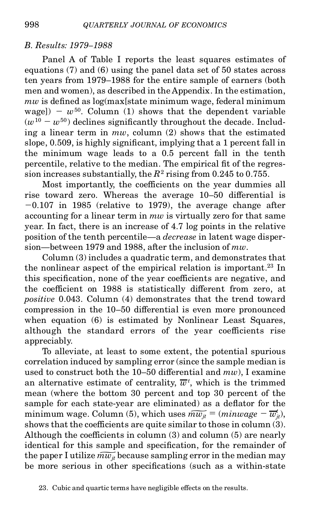# *B. Results: 1979–1988*

Panel A of Table I reports the least squares estimates of equations (7) and (6) using the panel data set of 50 states across ten years from 1979–1988 for the entire sample of earners (both men and women), as described in the Appendix. In the estimation,  $mw$  is defined as  $log(max[state minimum wage, federal minimum$ wage])  $-w^{50}$ . Column (1) shows that the dependent variable  $(w^{10} - w^{50})$  declines significantly throughout the decade. Including a linear term in *mw*, column (2) shows that the estimated slope, 0.509, is highly signicant, implying that a 1 percent fall in the minimum wage leads to a 0.5 percent fall in the tenth percentile, relative to the median. The empirical fit of the regression increases substantially, the  $R^2$  rising from 0.245 to 0.755.

Most importantly, the coefficients on the year dummies all rise toward zero. Whereas the average 10–50 differential is  $-0.107$  in 1985 (relative to 1979), the average change after accounting for a linear term in *mw* is virtually zero for that same year. In fact, there is an increase of 4.7 log points in the relative position of the tenth percentile—a *decrease* in latent wage disper sion—between 1979 and 1988, after the inclusion of *mw*.

Column (3) includes a quadratic term, and demonstrates that the nonlinear aspect of the empirical relation is important.<sup>23</sup> In this specification, none of the year coefficients are negative, and the coefficient on 1988 is statistically different from zero, at *positive* 0.043. Column (4) demonstrates that the trend toward compression in the 10–50 differential is even more pronounced when equation (6) is estimated by Nonlinear Least Squares, although the standard errors of the year coefficients rise appreciably.

To alleviate, at least to some extent, the potential spurious correlation induced by sampling error (since the sample median is used to construct both the 10–50 differential and *mw*), I examine an alternative estimate of centrality,  $\overline{w}^t$ , which is the trimmed mean (where the bottom 30 percent and top 30 percent of the sample for each state-year are eliminated) as a deflator for the an alternative estimate of centrality,  $\overline{w}^t$ , which is the trimmed<br>mean (where the bottom 30 percent and top 30 percent of the<br>sample for each state-year are eliminated) as a deflator for the<br>minimum wage. Column (5) shows that the coefficients are quite similar to those in column  $(3)$ . Although the coefficients in column (3) and column (5) are nearly identical for this sample and specification, for the remainder of shows that the coefficients are quite similar to those in column (3).<br>Although the coefficients in column (3) and column (5) are nearly<br>identical for this sample and specification, for the remainder of<br>the paper I utilize be more serious in other specifications (such as a within-state

<sup>23.</sup> Cubic and quartic terms have negligible effects on the results.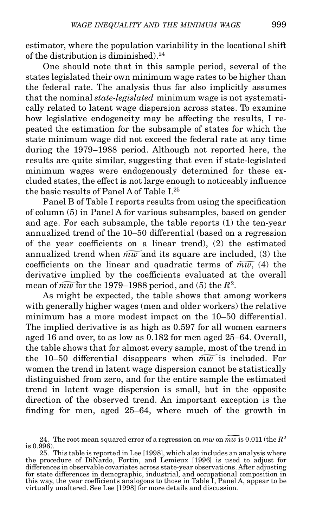estimator, where the population variability in the locational shift of the distribution is diminished).<sup>24</sup>

One should note that in this sample period, several of the states legislated their own minimum wage rates to be higher than the federal rate. The analysis thus far also implicitly assumes that the nominal *state-legislated* minimum wage is not systemati cally related to latent wage dispersion across states. To examine how legislative endogeneity may be affecting the results, I re peated the estimation for the subsample of states for which the state minimum wage did not exceed the federal rate at any time during the 1979–1988 period. Although not reported here, the results are quite similar, suggesting that even if state-legislated minimum wages were endogenously determined for these ex cluded states, the effect is not large enough to noticeably influence the basic results of Panel A of Table  $I^{25}$ .

Panel B of Table I reports results from using the specification of column (5) in Panel A for various subsamples, based on gender and age. For each subsample, the table reports (1) the ten-year annualized trend of the 10–50 differential (based on a regression of the year coefficients on a linear trend), (2) the estimated and age. For each subsample, the table reports (1) the ten-year<br>annualized trend of the 10–50 differential (based on a regression<br>of the year coefficients on a linear trend), (2) the estimated<br>annualized trend when  $m\overline{$ annualized trend of the 10–50 differential (based on a regression<br>of the year coefficients on a linear trend), (2) the estimated<br>annualized trend when  $m\overline{w}$  and its square are included, (3) the<br>coefficients on the lin derivative implied by the coefficients evaluated at the overall annualized trend when  $\overline{mw}$  and its square are includ coefficients on the linear and quadratic terms of  $\overline{m}$  derivative implied by the coefficients evaluated at t mean of  $\overline{mw}$  for the 1979–1988 period, and (5) .

As might be expected, the table shows that among workers with generally higher wages (men and older workers) the relative minimum has a more modest impact on the 10–50 differential. The implied derivative is as high as 0.597 for all women earners aged 16 and over, to as low as 0.182 for men aged 25–64. Overall, the table shows that for almost every sample, most of the trend in The implied derivative is as high as 0.597 for all women earners aged 16 and over, to as low as 0.182 for men aged 25–64. Overall, the table shows that for almost every sample, most of the trend in the 10–50 differential women the trend in latent wage dispersion cannot be statistically distinguished from zero, and for the entire sample the estimated trend in latent wage dispersion is small, but in the opposite direction of the observed trend. An important exception is the finding for men, aged 25–64, where much of the growth in

ling for men, aged 25–64, where much of the growth in<br>24. The root mean squared error of a regression on  $mw$  on  $\widetilde{mw}$  is 0.011 (the  $R^2$ <br>996) is 0.996).

<sup>25.</sup> This table is reported in Lee [1998], which also includes an analysis where the procedure of DiNardo, Fortin, and Lemieux [1996] is used to adjust for differences in observable covariates across state-year observations. After adjusting<br>for state differences in demographic, industrial, and occupational composition in<br>this way, the year coefficients analogous to those in T virtually unaltered. See Lee [1998] for more details and discussion.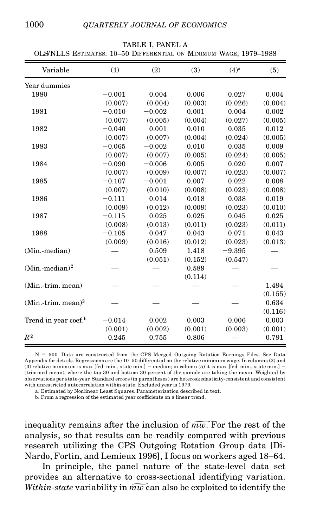| Variable                         | (1)      | (2)      | (3)     | $(4)$ <sup>a</sup> | (5)     |
|----------------------------------|----------|----------|---------|--------------------|---------|
| Year dummies                     |          |          |         |                    |         |
| 1980                             | $-0.001$ | 0.004    | 0.006   | 0.027              | 0.004   |
|                                  | (0.007)  | (0.004)  | (0.003) | (0.026)            | (0.004) |
| 1981                             | $-0.010$ | $-0.002$ | 0.001   | 0.004              | 0.002   |
|                                  | (0.007)  | (0.005)  | (0.004) | (0.027)            | (0.005) |
| 1982                             | $-0.040$ | 0.001    | 0.010   | 0.035              | 0.012   |
|                                  | (0.007)  | (0.007)  | (0.004) | (0.024)            | (0.005) |
| 1983                             | $-0.065$ | $-0.002$ | 0.010   | 0.035              | 0.009   |
|                                  | (0.007)  | (0.007)  | (0.005) | (0.024)            | (0.005) |
| 1984                             | $-0.090$ | $-0.006$ | 0.005   | 0.020              | 0.007   |
|                                  | (0.007)  | (0.009)  | (0.007) | (0.023)            | (0.007) |
| 1985                             | $-0.107$ | $-0.001$ | 0.007   | 0.022              | 0.008   |
|                                  | (0.007)  | (0.010)  | (0.008) | (0.023)            | (0.008) |
| 1986                             | $-0.111$ | 0.014    | 0.018   | 0.038              | 0.019   |
|                                  | (0.009)  | (0.012)  | (0.009) | (0.023)            | (0.010) |
| 1987                             | $-0.115$ | 0.025    | 0.025   | 0.045              | 0.025   |
|                                  | (0.008)  | (0.013)  | (0.011) | (0.023)            | (0.011) |
| 1988                             | $-0.105$ | 0.047    | 0.043   | 0.071              | 0.043   |
|                                  | (0.009)  | (0.016)  | (0.012) | (0.023)            | (0.013) |
| (Min.-median)                    |          | 0.509    | 1.418   | $-9.395$           |         |
|                                  |          | (0.051)  | (0.152) | (0.547)            |         |
| $(Min$ -median $)^2$             |          |          | 0.589   |                    |         |
|                                  |          |          | (0.114) |                    |         |
| (Min.-trim. mean)                |          |          |         |                    | 1.494   |
|                                  |          |          |         |                    | (0.155) |
| $(Min-trim.$ mean) <sup>2</sup>  |          |          |         |                    | 0.634   |
|                                  |          |          |         |                    | (0.116) |
| Trend in year coef. <sup>b</sup> | $-0.014$ | 0.002    | 0.003   | 0.006              | 0.003   |
|                                  | (0.001)  | (0.002)  | (0.001) | (0.003)            | (0.001) |
| $R^2$                            | 0.245    | 0.755    | 0.806   |                    | 0.791   |

TABLE I, PANEL A

OLS/NLLS ESTIMATES: 10–50 DIFFERENTIAL ON MINIMUM WAGE, 1979–1988

N = 500. Data are constructed from the CPS Merged Outgoing Rotation Earnings Files. See Data  $N = 500$ . Data are constructed from the CPS Merged Outgoing Rotation Earnings Files. See Data<br>Appendix for details. Regressions are the 10–50 differential on the relative minimum wage. In columns (2) and<br>(3) relative mini (trimmed mean), where the top 30 and bottom 30 percent of the sample are taking the mean. Weighted by observations per state-year. Standard errors (in parentheses) are heteroskedasticity-consistent and consistent with unrestricted autocorrelation within-state. Excluded year is 1979.

a. Estimated by Nonlinear Least Squares. Parameterization described in text.

b. From a regression of the estimated year coefficients on a linear trend.

inequality remains after the inclusion of  $\widetilde{mw}$ . For the rest of the analysis, so that results can be readily compared with previous research utilizing the CPS Outgoing Rotation Group data [Di-

Nardo, Fortin, and Lemieux 1996], I focus on workers aged 18–64.<br>In principle, the panel nature of the state-level data set<br>provides an alternative to cross-sectional identifying variation.<br>Within-state variability in  $\over$ In principle, the panel nature of the state-level data set provides an alternative to cross-sectional identifying variation.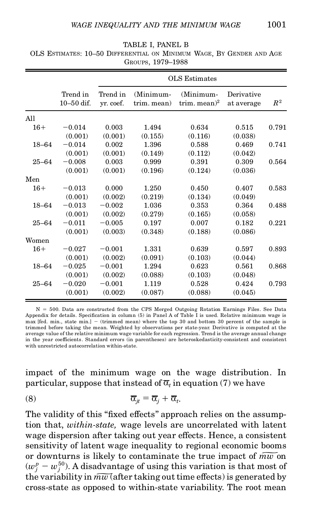|           |                            | OLS Estimates         |                          |                                       |                          |                |  |  |  |  |  |  |
|-----------|----------------------------|-----------------------|--------------------------|---------------------------------------|--------------------------|----------------|--|--|--|--|--|--|
|           | Trend in<br>$10 - 50$ dif. | Trend in<br>yr. coef. | (Minimum-<br>trim. mean) | (Minimum-<br>trim. mean) <sup>2</sup> | Derivative<br>at average | $\mathbb{R}^2$ |  |  |  |  |  |  |
| All       |                            |                       |                          |                                       |                          |                |  |  |  |  |  |  |
| $16+$     | $-0.014$                   | 0.003                 | 1.494                    | 0.634                                 | 0.515                    | 0.791          |  |  |  |  |  |  |
|           | (0.001)                    | (0.001)               | (0.155)                  | (0.116)                               | (0.038)                  |                |  |  |  |  |  |  |
| $18 - 64$ | $-0.014$                   | 0.002                 | 1.396                    | 0.588                                 | 0.469                    | 0.741          |  |  |  |  |  |  |
|           | (0.001)                    | (0.001)               | (0.149)                  | (0.112)                               | (0.042)                  |                |  |  |  |  |  |  |
| $25 - 64$ | $-0.008$                   | 0.003                 | 0.999                    | 0.391                                 | 0.309                    | 0.564          |  |  |  |  |  |  |
|           | (0.001)                    | (0.001)               | (0.196)                  | (0.124)                               | (0.036)                  |                |  |  |  |  |  |  |
| Men       |                            |                       |                          |                                       |                          |                |  |  |  |  |  |  |
| $16+$     | $-0.013$                   | 0.000                 | 1.250                    | 0.450                                 | 0.407                    | 0.583          |  |  |  |  |  |  |
|           | (0.001)                    | (0.002)               | (0.219)                  | (0.134)                               | (0.049)                  |                |  |  |  |  |  |  |
| $18 - 64$ | $-0.013$                   | $-0.002$              | 1.036                    | 0.353                                 | 0.364                    | 0.488          |  |  |  |  |  |  |
|           | (0.001)                    | (0.002)               | (0.279)                  | (0.165)                               | (0.058)                  |                |  |  |  |  |  |  |
| $25 - 64$ | $-0.011$                   | $-0.005$              | 0.197                    | 0.007                                 | 0.182                    | 0.221          |  |  |  |  |  |  |
|           | (0.001)                    | (0.003)               | (0.348)                  | (0.188)                               | (0.086)                  |                |  |  |  |  |  |  |
| Women     |                            |                       |                          |                                       |                          |                |  |  |  |  |  |  |
| $16+$     | $-0.027$                   | $-0.001$              | 1.331                    | 0.639                                 | 0.597                    | 0.893          |  |  |  |  |  |  |
|           | (0.001)                    | (0.002)               | (0.091)                  | (0.103)                               | (0.044)                  |                |  |  |  |  |  |  |
| $18 - 64$ | $-0.025$                   | $-0.001$              | 1.294                    | 0.623                                 | 0.561                    | 0.868          |  |  |  |  |  |  |
|           | (0.001)                    | (0.002)               | (0.088)                  | (0.103)                               | (0.048)                  |                |  |  |  |  |  |  |
| $25 - 64$ | $-0.020$                   | $-0.001$              | 1.119                    | 0.528                                 | 0.424                    | 0.793          |  |  |  |  |  |  |
|           | (0.001)                    | (0.002)               | (0.087)                  | (0.088)                               | (0.045)                  |                |  |  |  |  |  |  |

TABLE I, PANEL B OLS ESTIMATES: 10–50 DIFFERENTIAL ON MINIMUM WAGE, BY GENDER AND AGE GROUPS, 1979–1988

 $N = 500$ . Data are constructed from the CPS Merged Outgoing Rotation Earnings Files. See Data Appendix for details. Specification in column (5) in Panel A of Table I is used. Relative minimum wage is max [fed. min., state min.] – (trimmed mean) where the top 30 and bottom 30 percent of the sample is max [fed. min., state min.] – (trimmed mean) where the top 30 and bottom 30 percent of the sample is trimmed before taking the mean. Weighted by observations per state-year. Derivative is computed at the average value of in the year coefficients. Standard errors (in parentheses) are heteroskedasticity-consistent and consistent with unrestricted autocorrelation within-state.

impact of the minimum wage on the wage distribution. In particular, suppose that instead of  $\overline{\alpha}_t$  in equation (7) we have

$$
\overline{\alpha}_{jt} = \overline{\alpha}_j + \overline{\alpha}_t.
$$

The validity of this "fixed effects" approach relies on the assumption that, *within-state,* wage levels are uncorrelated with latent wage dispersion after taking out year effects. Hence, a consistent sensitivity of latent wage inequality to regional economic booms or downturns is likely to contaminate the true impact of  $\widetilde{mw}$  on  $(w_j^p - w_j^{50})$ . A disadvantage of using this variation is that most of sensitivity of latent wage inequality to regional economic booms<br>or downturns is likely to contaminate the true impact of  $m\overline{w}$  on<br> $(w_j^p - w_j^{50})$ . A disadvantage of using this variation is that most of<br>the variability cross-state as opposed to within-state variability. The root mean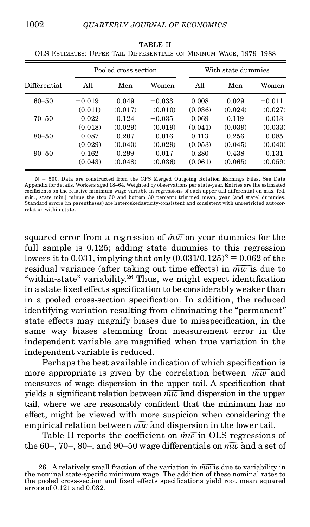|              |                  | Pooled cross section |                     | With state dummies |                  |                  |  |  |
|--------------|------------------|----------------------|---------------------|--------------------|------------------|------------------|--|--|
| Differential | All              | Men                  | Women               | All                | Men              | Women            |  |  |
| $60 - 50$    | $-0.019$         | 0.049                | $-0.033$            | 0.008              | 0.029            | $-0.011$         |  |  |
| $70 - 50$    | (0.011)<br>0.022 | (0.017)<br>0.124     | (0.010)<br>$-0.035$ | (0.036)<br>0.069   | (0.024)<br>0.119 | (0.027)<br>0.013 |  |  |
| $80 - 50$    | (0.018)<br>0.087 | (0.029)<br>0.207     | (0.019)<br>$-0.016$ | (0.041)<br>0.113   | (0.039)<br>0.256 | (0.033)<br>0.085 |  |  |
|              | (0.029)          | (0.040)              | (0.029)             | (0.053)            | (0.045)          | (0.040)          |  |  |
| $90 - 50$    | 0.162<br>(0.043) | 0.299<br>(0.048)     | 0.017<br>(0.036)    | 0.280<br>(0.061)   | 0.438<br>(0.065) | 0.131<br>(0.059) |  |  |

TABLE II OLS ESTIMATES: UPPER TAIL DIFFERENTIALS ON MINIMUM WAGE, 1979–1988

Standard errors (in parentheses) are heteroskedasticity-consistent and consistent with unrestricted autocorrelation within-state.<br>
squared error from a regression of  $\widetilde{mw}$  on year dummies for the N = 500. Data are constructed from the CPS Merged Outgoing Rotation Earnings Files. See Data Appendix for details. Workers aged 18–64. Weighted by observations per state-year. Entries are the estimated min., state min.] minus the (top 30 and bottom 30 percent) trimmed mean, year (and state) dummies. relation within-state.

full sample is 0.125; adding state dummies to this regression lowers it to 0.031, implying that only  $(0.031/0.125)^2 = 0.062$  of the squared error from a regression of  $\overline{mw}$  on year dummies for the full sample is 0.125; adding state dummies to this regression lowers it to 0.031, implying that only  $(0.031/0.125)^2 = 0.062$  of the residual variance (af "within-state" variability.<sup>26</sup> Thus, we might expect identification in a state fixed effects specification to be considerably weaker than in a pooled cross-section specification. In addition, the reduced identifying variation resulting from eliminating the "permanent" state effects may magnify biases due to misspecification, in the same way biases stemming from measurement error in the independent variable are magnified when true variation in the independent variable is reduced.

Perhaps the best available indication of which specification is independent variable are magnified when true variation in the independent variable is reduced.<br>
Perhaps the best available indication of which specification is<br>
more appropriate is given by the correlation between  $\overline{mw}$ measures of wage dispersion in the upper tail. A specification that Perhaps the best available indication of which specification is<br>more appropriate is given by the correlation between  $\overline{mw}$  and<br>measures of wage dispersion in the upper tail. A specification that<br>yields a significant re tail, where we are reasonably confident that the minimum has no effect, might be viewed with more suspicion when considering the yields a significant relation between  $\overline{mw}$  and dispersion in the upper<br>tail, where we are reasonably confident that the minimum has no<br>effect, might be viewed with more suspicion when considering the<br>empirical relatio

effect, might be viewed with more suspicion when considering the<br>empirical relation between  $m\overline{w}$  and dispersion in the lower tail.<br>Table II reports the coefficient on  $m\overline{w}$  in OLS regressions of<br>the 60–, 70–, 80–

<sup>26.</sup> A relatively small fraction of the variation in  $\overline{mw}$  and a set of 26. A relatively small fraction of the variation in  $\overline{mw}$  is due to variability in aominal state-specific minimum wage. The addition of these no the nominal state-specific minimum wage. The addition of these nominal rates to<br>the pooled cross-section and fixed effects specifications yield root mean squared errors of 0.121 and 0.032.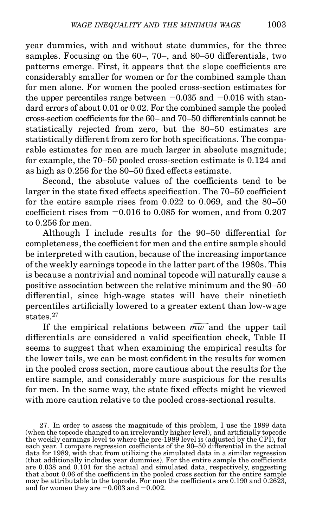year dummies, with and without state dummies, for the three samples. Focusing on the 60–, 70–, and 80–50 differentials, two patterns emerge. First, it appears that the slope coefficients are considerably smaller for women or for the combined sample than for men alone. For women the pooled cross-section estimates for the upper percentiles range between  $-0.035$  and  $-0.016$  with standard errors of about 0.01 or 0.02. For the combined sample the pooled cross-section coefficients for the 60– and 70–50 differentials cannot be statistically rejected from zero, but the 80–50 estimates are statistically different from zero for both specifications. The comparable estimates for men are much larger in absolute magnitude; for example, the 70–50 pooled cross-section estimate is 0.124 and as high as 0.256 for the 80-50 fixed effects estimate.

Second, the absolute values of the coefficients tend to be larger in the state fixed effects specification. The 70–50 coefficient for the entire sample rises from 0.022 to 0.069, and the 80–50 coefficient rises from  $-0.016$  to 0.085 for women, and from 0.207 to 0.256 for men.

Although I include results for the 90–50 differential for completeness, the coefficient for men and the entire sample should be interpreted with caution, because of the increasing importance of the weekly earnings topcode in the latter part of the 1980s. This is because a nontrivial and nominal topcode will naturally cause a positive association between the relative minimum and the 90–50 differential, since high-wage states will have their ninetieth percentiles artificially lowered to a greater extent than low-wage states.<sup>27</sup>

If the empirical relations between *mw˜*and the upper tail differentials are considered a valid specification check, Table II seems to suggest that when examining the empirical results for the lower tails, we can be most confident in the results for women in the pooled cross section, more cautious about the results for the entire sample, and considerably more suspicious for the results for men. In the same way, the state fixed effects might be viewed with more caution relative to the pooled cross-sectional results.

<sup>27.</sup> In order to assess the magnitude of this problem, I use the 1989 data (when the topcode changed to an irrelevantly higher level), and articially topcode the weekly earnings level to where the pre-1989 level is (adjusted by the CPI), for each year. I compare regression coefficients of the 90–50 differential in the actual<br>data for 1989, with that from utilizing the simulated data in a similar regression<br>(that additionally includes year dummies). For the ent are 0.038 and 0.101 for the actual and simulated data, respectively, suggesting that about 0.06 of the coefficient in the pooled cross section for the entire sample may be attributable to the topcode. For men the coefficients are 0.190 and 0.2623, and for women they are  $-0.003$  and  $-0.002$ .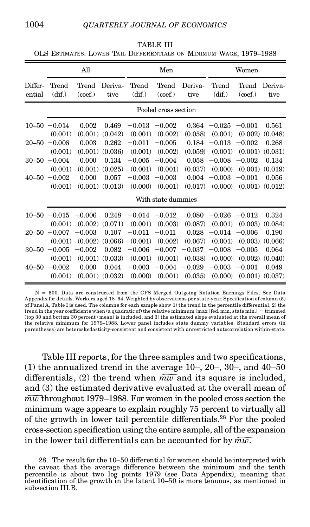|         |                              | All                 |                  |                             | Men                  |                  |                     | Women               |                  |
|---------|------------------------------|---------------------|------------------|-----------------------------|----------------------|------------------|---------------------|---------------------|------------------|
| Differ- | Trend                        | Trend               | Deriva-          | Trend                       | Trend                | Deriva-          | Trend               | Trend               | Deriva-          |
| ential  | (dif.)                       | (coef.)             | tive             | (dif.)                      | $($ coef. $)$        | tive             | (dif.)              | (coef.)             | tive             |
|         |                              |                     |                  |                             | Pooled cross section |                  |                     |                     |                  |
|         | $10 - 50 - 0.014$            | 0.002               | 0.469            | $-0.013$                    | $-0.002$             | 0.364            | $-0.025$            | $-0.001$            | 0.561            |
|         | (0.001)                      | (0.001)             | (0.042)          | (0.001)                     | (0.002)              | (0.058)          | (0.001)             | (0.002)             | (0.048)          |
|         | $20 - 50 - 0.006$            | 0.003               | 0.262            | $-0.011$                    | $-0.005$             | 0.184            | $-0.013$            | $-0.002$            | 0.268            |
|         | (0.001)                      | (0.001)             | (0.036)          | (0.001)                     | (0.002)              | (0.059)          | (0.001)             | (0.001)             | (0.031)          |
|         | $30 - 50 - 0.004$            | 0.000               | 0.134            | $-0.005$                    | $-0.004$             | 0.058            | $-0.008$            | $-0.002$            | 0.134            |
|         | (0.001)                      | (0.001)             | (0.025)          | (0.001)                     | (0.001)              | (0.037)          | (0.000)             | (0.001)             | (0.019)          |
|         | $40 - 50 - 0.002$            | 0.000               | 0.057            | $-0.003$                    | $-0.003$             | 0.004            | $-0.003$            | $-0.001$            | 0.056            |
|         | (0.001)                      | (0.001)             | (0.013)          | (0.000)                     | (0.001)              | (0.017)          | (0.000)             | (0.001)             | (0.012)          |
|         |                              |                     |                  |                             | With state dummies   |                  |                     |                     |                  |
|         | $10 - 50 - 0.015$<br>(0.001) | $-0.006$<br>(0.002) | 0.248<br>(0.071) | $-0.014 - 0.012$<br>(0.001) | (0.003)              | 0.080<br>(0.087) | $-0.026$<br>(0.001) | $-0.012$<br>(0.003) | 0.324<br>(0.084) |
|         | $20 - 50 - 0.007$            | $-0.003$            | 0.107            | $-0.011$                    | $-0.011$             | 0.028            | $-0.014$            | $-0.006$            | 0.190            |
|         | (0.001)                      | (0.002)             | (0.066)          | (0.001)                     | (0.002)              | (0.067)          | (0.001)             | (0.003)             | (0.066)          |
|         | $30 - 50 - 0.005$            | $-0.002$            | 0.082            | $-0.006$                    | $-0.007$             | $-0.037$         | $-0.008$            | $-0.005$            | 0.064            |
|         | (0.001)                      | (0.001)             | (0.033)          | (0.001)                     | (0.001)              | (0.038)          | (0.000)             | (0.002)             | (0.040)          |
|         | $40 - 50 - 0.002$            | 0.000               | 0.044            | $-0.003$                    | $-0.004$             | $-0.029$         | $-0.003$            | $-0.001$            | 0.049            |
|         | (0.001)                      | (0.001)             | (0.032)          | (0.000)                     | (0.001)              | (0.035)          | (0.000)             | (0.001)             | (0.037)          |

TABLE III OLS ESTIMATES: LOWER TAIL DIFFERENTIALS ON MINIMUM WAGE, 1979–1988

N = 500. Data are constructed from the CPS Merged Outgoing Rotation Earnings Files. See Data Appendix for details. Workers aged 18–64. Weighted by observations per state-year. Specification of column (5) Appendix for details. Workers aged 18–64. Weighted by observations per state-year. Specification of column (5)<br>of Panel A, Table I is used. The columns for each sample show 1) the trend in the percentile differential, 2) (top 30 and bottom 30 percent) mean) is included, and 3) the estimated slope evaluated at the overall mean of the relative minimum for 1979–1988. Lower panel includes state dummy variables. Standard errors (in parentheses) are heteroskedasticity-consistent and consistent with unrestricted autocorrelation within-state.

Table III reports, for the three samples and two specifications,  $(1)$  the annualized trend in the average 10–, 20–, 30–, and 40–50 Table III reports, for the three samples and two specifications,<br>(1) the annualized trend in the average 10–, 20–, 30–, and 40–50<br>differentials, (2) the trend when  $m\overline{w}$  and its square is included,<br>and (3) the estimat differentials, (2) the trend when  $\overline{n w}$  and its square is included, and (3) the estimated derivative evaluated at the overall mean of  $\overline{n w}$  throughout 1979–1988. For women in the pooled cross section the minimum wage appears to explain roughly 75 percent to virtually all of the growth in lower tail percentile differentials.<sup>28</sup> For the pooled cross-section specification using the entire sample, all of the expansion in the of the growth in lower tail percentile differentials.<sup>28</sup> For the pooled cross-section specification using the entire sample, all of the expansion

<sup>28.</sup> The result for the 10–50 differential for women should be interpreted with the caveat that the average difference between the minimum and the tenth percentile is about two log points 1979 (see Data Appendix), meaning that identification of the growth in the latent 10–50 is more tenuous, as mentioned in subsection III.B.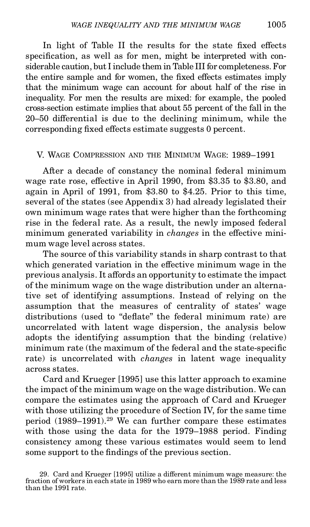In light of Table II the results for the state fixed effects specification, as well as for men, might be interpreted with considerable caution, but I include them in Table III for completeness.For the entire sample and for women, the fixed effects estimates imply that the minimum wage can account for about half of the rise in inequality. For men the results are mixed: for example, the pooled cross-section estimate implies that about 55 percent of the fall in the 20–50 differential is due to the declining minimum, while the corresponding fixed effects estimate suggests 0 percent.

#### V. WAGE COMPRESSION AND THE MINIMUM WAGE: 1989–1991

After a decade of constancy the nominal federal minimum wage rate rose, effective in April 1990, from \$3.35 to \$3.80, and again in April of 1991, from \$3.80 to \$4.25. Prior to this time, several of the states (see Appendix 3) had already legislated their own minimum wage rates that were higher than the forthcoming rise in the federal rate. As a result, the newly imposed federal minimum generated variability in *changes* in the effective mini mum wage level across states.

The source of this variability stands in sharp contrast to that which generated variation in the effective minimum wage in the previous analysis. It affords an opportunity to estimate the impact of the minimum wage on the wage distribution under an alterna tive set of identifying assumptions. Instead of relying on the assumption that the measures of centrality of states' wage distributions (used to "deflate" the federal minimum rate) are uncorrelated with latent wage dispersion, the analysis below adopts the identifying assumption that the binding (relative) minimum rate (the maximum of the federal and the state-specific rate) is uncorrelated with *changes* in latent wage inequality across states.

Card and Krueger [1995] use this latter approach to examine the impact of the minimum wage on the wage distribution. We can compare the estimates using the approach of Card and Krueger with those utilizing the procedure of Section IV, for the same time period  $(1989-1991).^{29}$  We can further compare these estimates with those using the data for the 1979–1988 period. Finding consistency among these various estimates would seem to lend some support to the findings of the previous section.

<sup>29.</sup> Card and Krueger [1995] utilize a different minimum wage measure: the fraction of workers in each state in 1989 who earn more than the 1989 rate and less than the 1991 rate.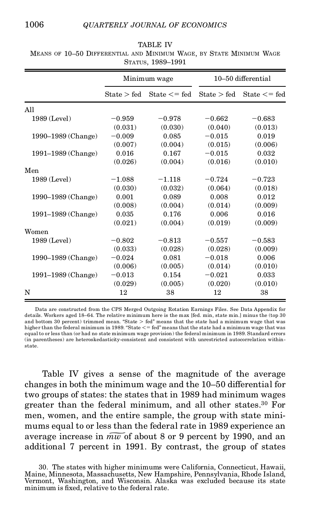|                    |             | Minimum wage       |                                   | 10-50 differential |
|--------------------|-------------|--------------------|-----------------------------------|--------------------|
|                    | State > fed | $State \leq = fed$ | State > fed<br>$State \leq = fed$ |                    |
| All                |             |                    |                                   |                    |
| 1989 (Level)       | $-0.959$    | $-0.978$           | $-0.662$                          | $-0.683$           |
|                    | (0.031)     | (0.030)            | (0.040)                           | (0.013)            |
| 1990–1989 (Change) | $-0.009$    | 0.085              | $-0.015$                          | 0.019              |
|                    | (0.007)     | (0.004)            | (0.015)                           | (0.006)            |
| 1991–1989 (Change) | 0.016       | 0.167              | $-0.015$                          | 0.032              |
|                    | (0.026)     | (0.004)            | (0.016)                           | (0.010)            |
| Men                |             |                    |                                   |                    |
| 1989 (Level)       | $-1.088$    | $-1.118$           | $-0.724$                          | $-0.723$           |
|                    | (0.030)     | (0.032)            | (0.064)                           | (0.018)            |
| 1990–1989 (Change) | 0.001       | 0.089              | 0.008                             | 0.012              |
|                    | (0.008)     | (0.004)            | (0.014)                           | (0.009)            |
| 1991–1989 (Change) | 0.035       | 0.176              | 0.006                             | 0.016              |
|                    | (0.021)     | (0.004)            | (0.019)                           | (0.009)            |
| Women              |             |                    |                                   |                    |
| 1989 (Level)       | $-0.802$    | $-0.813$           | $-0.557$                          | $-0.583$           |
|                    | (0.033)     | (0.028)            | (0.028)                           | (0.009)            |
| 1990–1989 (Change) | $-0.024$    | 0.081              | $-0.018$                          | 0.006              |
|                    | (0.006)     | (0.005)            | (0.014)                           | (0.010)            |
| 1991–1989 (Change) | $-0.013$    | 0.154              | $-0.021$                          | 0.033              |
|                    | (0.029)     | (0.005)            | (0.020)                           | (0.010)            |
| N                  | 12          | 38                 | 12                                | 38                 |

TABLE IV MEANS OF 10–50 DIFFERENTIAL AND MINIMUM WAGE, BY STATE MINIMUM WAGE STATUS, 1989–1991

Data are constructed from the CPS Merged Outgoing Rotation Earnings Files. See Data Appendix for details. Workers aged 18–64. The relative minimum here is the max [fed. min, state min.] minus the (top 30 and bottom 30 percent) trimmed mean. "State  $>$  fed" means that the state had a minimum wage that was and bottom 30 percent) trimmed mean. "State > fed" means that the state had a minimum wage that was higher than the federal minimum in 1989. "State  $\lt =$  fed" means that the state had a minimum wage that was equal to or l (in parentheses) are heteroskedasticity-consistent and consistent with unrestricted autocorrelation within state.

Table IV gives a sense of the magnitude of the average changes in both the minimum wage and the 10–50 differential for two groups of states: the states that in 1989 had minimum wages greater than the federal minimum, and all other states.<sup>30</sup> For<br>men, women, and the entire sample, the group with state mini-<br>mums equal to or less than the federal rate in 1989 experience an<br>average increase in  $m\overline{w}$ men, women, and the entire sample, the group with state mini mums equal to or less than the federal rate in 1989 experience an additional 7 percent in 1991. By contrast, the group of states

<sup>30.</sup> The states with higher minimums were California, Connecticut, Hawaii, Maine, Minnesota, Massachusetts, New Hampshire, Pennsylvania, Rhode Island, Vermont, Washington, and Wisconsin. Alaska was excluded because its stat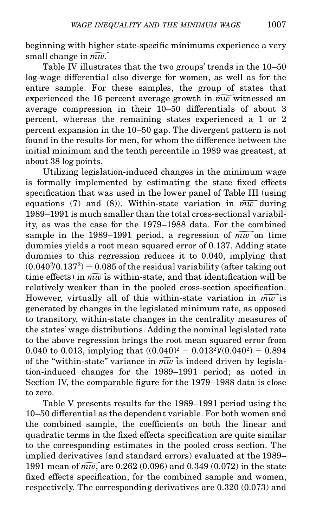beginning with higher state-specific minimums experience a very wa*GE INEQUALITY AND THE MINIMUM WAGE* 1007<br>beginning with higher state-specific minimums experience a very<br>small change in  $\overline{mw}$ .<br>Table IV illustrates that the two groups' trends in the 10–50

log-wage differential also diverge for women, as well as for the entire sample. For these samples, the group of states that experienced the 16 percent average growth in  $m\overline{w}$  witnessed an Table IV illustrates that the two groups' trends in the 10–50 log-wage differential also diverge for women, as well as for the entire sample. For these samples, the group of states that experienced the 16 percent average average compression in their 10–50 differentials of about 3 percent, whereas the remaining states experienced a 1 or 2 percent expansion in the 10–50 gap. The divergent pattern is not found in the results for men, for whom the difference between the initial minimum and the tenth percentile in 1989 was greatest, at about 38 log points.

Utilizing legislation-induced changes in the minimum wage is formally implemented by estimating the state fixed effects specification that was used in the lower panel of Table III (using Utilizing legislation-induced changes in the minimum wage<br>is formally implemented by estimating the state fixed effects<br>specification that was used in the lower panel of Table III (using<br>equations (7) and (8)). Within-sta 1989–1991 is much smaller than the total cross-sectional variability, as was the case for the 1979–1988 data. For the combined equations (7) and (8)). Within-state variation in  $\tilde{mw}$  during 1989–1991 is much smaller than the total cross-sectional variability, as was the case for the 1979–1988 data. For the combined sample in the 1989–1991 peri dummies yields a root mean squared error of 0.137. Adding state dummies to this regression reduces it to 0.040, implying that  $(0.040\frac{2}{0.137^2})$  = 0.085 of the residual variability (after taking out dummies yields a root mean squared error of 0.137. Adding state<br>dummies to this regression reduces it to 0.040, implying that<br> $(0.040^2/0.137^2) = 0.085$  of the residual variability (after taking out<br>time effects) in  $\overline{$ relatively weaker than in the pooled cross-section specification. time effects) in  $\widehat{mw}$  is within-state, and that identification will be relatively weaker than in the pooled cross-section specification.<br>However, virtually all of this within-state variation in  $\widehat{mw}$  is generated by changes in the legislated minimum rate, as opposed to transitory, within-state changes in the centrality measures of the states' wage distributions. Adding the nominal legislated rate to the above regression brings the root mean squared error from 0.040 to 0.013, implying that  $((0.040)^2 - 0.013^2) / (0.040^2) = 0.894$ the states' wage distributions. Adding the nominal legislated rate<br>to the above regression brings the root mean squared error from<br>0.040 to 0.013, implying that  $((0.040)^2 - 0.013^2)/(0.040^2) = 0.894$ <br>of the "within-state" va tion-induced changes for the 1989–1991 period; as noted in Section IV, the comparable figure for the 1979–1988 data is close to zero.

Table V presents results for the 1989–1991 period using the 10–50 differential as the dependent variable. For both women and the combined sample, the coefficients on both the linear and quadratic terms in the fixed effects specification are quite similar to the corresponding estimates in the pooled cross section. The implied derivatives (and standard errors) evaluated at the 1989–1991 mean of  $m\overline{u}$ , are 0.262 (0.096) and 0.349 (0.072) in the state quadratic terms in the fixed effects specification are quite similar<br>to the corresponding estimates in the pooled cross section. The<br>implied derivatives (and standard errors) evaluated at the 1989–<br>1991 mean of  $m\overline{w}$ , fixed effects specification, for the combined sample and women, respectively. The corresponding derivatives are 0.320 (0.073) and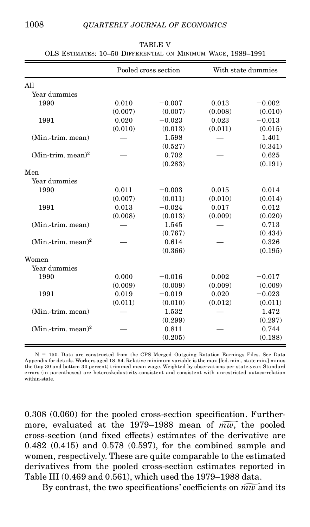|                                 |         | Pooled cross section |         | With state dummies |
|---------------------------------|---------|----------------------|---------|--------------------|
| All                             |         |                      |         |                    |
| Year dummies                    |         |                      |         |                    |
| 1990                            | 0.010   | $-0.007$             | 0.013   | $-0.002$           |
|                                 | (0.007) | (0.007)              | (0.008) | (0.010)            |
| 1991                            | 0.020   | $-0.023$             | 0.023   | $-0.013$           |
|                                 | (0.010) | (0.013)              | (0.011) | (0.015)            |
| (Min.-trim. mean)               |         | 1.598                |         | 1.401              |
|                                 |         | (0.527)              |         | (0.341)            |
| $(Min-trim.$ mean) <sup>2</sup> |         | 0.702                |         | 0.625              |
|                                 |         | (0.283)              |         | (0.191)            |
| Men                             |         |                      |         |                    |
| Year dummies                    |         |                      |         |                    |
| 1990                            | 0.011   | $-0.003$             | 0.015   | 0.014              |
|                                 | (0.007) | (0.011)              | (0.010) | (0.014)            |
| 1991                            | 0.013   | $-0.024$             | 0.017   | 0.012              |
|                                 | (0.008) | (0.013)              | (0.009) | (0.020)            |
| (Min.-trim. mean)               |         | 1.545                |         | 0.713              |
|                                 |         | (0.767)              |         | (0.434)            |
| $(Min.-trim. mean)^2$           |         | 0.614                |         | 0.326              |
|                                 |         | (0.366)              |         | (0.195)            |
| Women                           |         |                      |         |                    |
| Year dummies                    |         |                      |         |                    |
| 1990                            | 0.000   | $-0.016$             | 0.002   | $-0.017$           |
|                                 | (0.009) | (0.009)              | (0.009) | (0.009)            |
| 1991                            | 0.019   | $-0.019$             | 0.020   | $-0.023$           |
|                                 | (0.011) | (0.010)              | (0.012) | (0.011)            |
| (Min.-trim. mean)               |         | 1.532                |         | 1.472              |
|                                 |         | (0.299)              |         | (0.297)            |
| $(Min.-trim. mean)^2$           |         | 0.811                |         | 0.744              |
|                                 |         | (0.205)              |         | (0.188)            |

TABLE V OLS ESTIMATES: 10–50 DIFFERENTIAL ON MINIMUM WAGE, 1989–1991

N = 150. Data are constructed from the CPS Merged Outgoing Rotation Earnings Files. See Data Appendix for details. Workers aged 18–64. Relative minimum variable is the max [fed. min., state min.] minus the (top 30 and bottom 30 percent) trimmed mean wage. Weighted by observations per state-year. Standard errors (in parentheses) are heteroskedasticity-consistent and consistent with unrestricted autocorrelation within-state.

 $0.308$   $(0.060)$  for the pooled cross-section specification. Furthermore, evaluated at the 1979–1988 mean of  $\widetilde{mw}$ , the pooled cross-section (and fixed effects) estimates of the derivative are 0.482 (0.415) and 0.578 (0.597), for the combined sample and women, respectively. These are quite comparable to the estimated<br>derivatives from the pooled cross-section estimates reported in<br>Table III (0.469 and 0.561), which used the 1979–1988 data.<br>By contrast, the two specificati derivatives from the pooled cross-section estimates reported in Table III (0.469 and 0.561), which used the 1979–1988 data.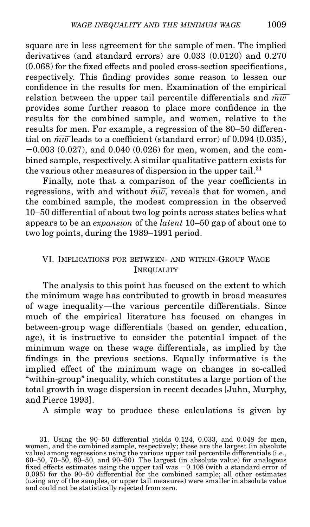square are in less agreement for the sample of men. The implied derivatives (and standard errors) are 0.033 (0.0120) and 0.270  $(0.068)$  for the fixed effects and pooled cross-section specifications, respectively. This finding provides some reason to lessen our confidence in the results for men. Examination of the empirical (0.068) for the fixed effects and pooled cross-section specifications, respectively. This finding provides some reason to lessen our confidence in the results for men. Examination of the empirical relation between the upp provides some further reason to place more confidence in the results for the combined sample, and women, relative to the results for men. For example, a regression of the 80–50 differenprovides some further reason to place more confidence in the results for the combined sample, and women, relative to the results for men. For example, a regression of the 80–50 differential on  $m\overline{w}$  leads to a coeffic bined sample, respectively. A similar qualitative pattern exists for the various other measures of dispersion in the upper tail. $31$ 

Finally, note that a comparison of the year coefficients in regressions, with and without  $\widetilde{mw}$ , reveals that for women, and the combined sample, the modest compression in the observed 10–50 differential of about two log points across states belies what appears to be an *expansion* of the *latent* 10–50 gap of about one to two log points, during the 1989–1991 period.

# VI. IMPLICATIONS FOR BETWEEN- AND WITHIN-GROUP WAGE INEQUALITY

The analysis to this point has focused on the extent to which the minimum wage has contributed to growth in broad measures of wage inequality—the various percentile differentials. Since much of the empirical literature has focused on changes in between-group wage differentials (based on gender, education, age), it is instructive to consider the potential impact of the minimum wage on these wage differentials, as implied by the ndings in the previous sections. Equally informative is the implied effect of the minimum wage on changes in so-called ''within-group'' inequality, which constitutes a large portion of the total growth in wage dispersion in recent decades [Juhn, Murphy, and Pierce 1993].

A simple way to produce these calculations is given by

<sup>31.</sup> Using the 90–50 differential yields 0.124, 0.033, and 0.048 for men, and the combined sample, respectively; these are the largest (in absolute value) among regressions using the various upper tail percentile different fixed effects estimates using the upper tail was  $-0.108$  (with a standard error of 0.095) for the 90–50 differential for the combined sample; all other estimates (using any of the samples, or upper tail measures) were sm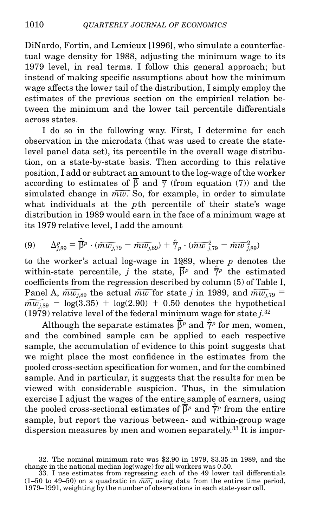DiNardo, Fortin, and Lemieux [1996], who simulate a counterfactual wage density for 1988, adjusting the minimum wage to its 1979 level, in real terms. I follow this general approach; but instead of making specific assumptions about how the minimum wage affects the lower tail of the distribution, I simply employ the estimates of the previous section on the empirical relation between the minimum and the lower tail percentile differentials across states.

I do so in the following way. First, I determine for each observation in the microdata (that was used to create the statelevel panel data set), its percentile in the overall wage distribution, on a state-by-state basis. Then according to this relative position, I add or subtract an amount to the log-wage of the worker according to estimates of  $\overline{\beta}$  and  $\overline{\gamma}$  (from equation (7)) and the simulated change in  $m\overline{w}$ . So, for example, in order to simulate tion, on a state-by-state basis. Then according to this relative<br>position, I add or subtract an amount to the log-wage of the worker<br>according to estimates of  $\overline{\beta}$  and  $\overline{\gamma}$  (from equation (7)) and the<br>simulated ch what individuals at the *p*th percentile of their state's wage distribution in 1989 would earn in the face of a minimum wage at<br>its 1979 relative level, I add the amount<br>(9)  $\Delta_{j,89}^p = \hat{\beta}^p \cdot (\overline{m w}_{j,79} - \overline{m w}_{j,89}) + \hat{\gamma}_p \cdot (\overline{m w}_{j,79}^2 - \overline{m w}_{j,89}^2)$ its 1979 relative level, I add the amount

$$
(9) \qquad \Delta_{j,89}^p = \hat{\beta}^p \cdot (\widetilde{m w_{j,79}} - \widetilde{m w_{j,89}}) + \hat{\gamma}_p \cdot (\widetilde{m w_{j,79}}^2 - \widetilde{m w_{j,89}}^2)
$$

to the worker's actual log-wage in 1989, where *p* denotes the within-state percentile, *j* the state,  $\overline{\beta}^p$  and  $\overline{\gamma}^p$  the estimated coefficients from the regression described by column (5) of Table I, to the worker's actual log-wage in 1989, where *p* denotes<br>within-state percentile, *j* the state,  $\overline{\beta}^p$  and  $\overline{\gamma}^p$  the estim<br>coefficients from the regression described by column (5) of Tal<br>Panel A,  $\overline{m w_{j,89}}$ within-state percentile, *j* the state,  $\overline{\beta}^p$  and  $\overline{\gamma}^p$  the estimated coefficients from the regression described by column (5) of Table I, Panel A,  $\overline{mw}_{j,89}$  the actual  $\overline{mw}$  for state *j* in 1989, and  $\$ (1979) relative level of the federal minimum wage for state *j*.<sup>32</sup>

Although the separate estimates  $\hat{\bar{\beta}}^p$  and  $\hat{\bar{\gamma}}^p$  for men, women, and the combined sample can be applied to each respective sample, the accumulation of evidence to this point suggests that we might place the most confidence in the estimates from the pooled cross-section specification for women, and for the combined sample. And in particular, it suggests that the results for men be viewed with considerable suspicion. Thus, in the simulation exercise I adjust the wages of the entire sample of earners, using the pooled cross-sectional estimates of  $\overline{\beta}^p$  and  $\overline{\gamma}^p$  from the entire sample, but report the various between- and within-group wage dispersion measures by men and women separately.<sup>33</sup> It is impor-

<sup>32.</sup> The nominal minimum rate was \$2.90 in 1979, \$3.35 in 1989, and the

 $\overline{33}$ . I use estimates from regressing each of the 49 lower tail differentials  $(1-50 \text{ to } 49-50)$  on a quadratic in  $\overline{mw}$ , using data from the entire time period, 1979–1991, weighting by the number of observations in each state-year cell.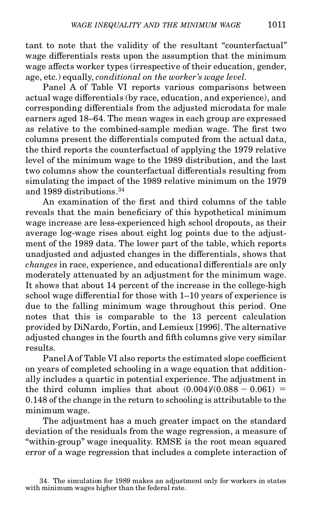tant to note that the validity of the resultant ''counterfactual'' wage differentials rests upon the assumption that the minimum wage affects worker types (irrespective of their education, gender, age, etc.) equally, *conditional on the worker's wage level.*

Panel A of Table VI reports various comparisons between actual wage differentials (by race, education, and experience), and corresponding differentials from the adjusted microdata for male earners aged 18–64. The mean wages in each group are expressed as relative to the combined-sample median wage. The first two columns present the differentials computed from the actual data, the third reports the counterfactual of applying the 1979 relative level of the minimum wage to the 1989 distribution, and the last two columns show the counterfactual differentials resulting from simulating the impact of the 1989 relative minimum on the 1979 and 1989 distributions.<sup>34</sup>

An examination of the first and third columns of the table reveals that the main beneficiary of this hypothetical minimum wage increase are less-experienced high school dropouts, as their average log-wage rises about eight log points due to the adjust ment of the 1989 data. The lower part of the table, which reports unadjusted and adjusted changes in the differentials, shows that *changes* in race, experience, and educational differentials are only moderately attenuated by an adjustment for the minimum wage. It shows that about 14 percent of the increase in the college-high school wage differential for those with 1–10 years of experience is due to the falling minimum wage throughout this period. One notes that this is comparable to the 13 percent calculation provided by DiNardo, Fortin, and Lemieux [1996]. The alternative adjusted changes in the fourth and fth columns give very similar results.

Panel A of Table VI also reports the estimated slope coefficient on years of completed schooling in a wage equation that addition ally includes a quartic in potential experience. The adjustment in the third column implies that about  $(0.004)/(0.088 - 0.061)$  = 0.148 of the change in the return to schooling is attributable to the minimum wage.

The adjustment has a much greater impact on the standard deviation of the residuals from the wage regression, a measure of ''within-group'' wage inequality. RMSE is the root mean squared error of a wage regression that includes a complete interaction of

34. The simulation for <sup>1989</sup> makes an adjustment only for workers in states with minimum wages higher than the federal rate.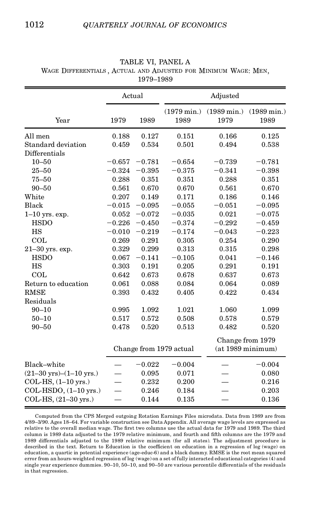|                                              |          | Actual   |                                  | Adjusted                         |                                       |
|----------------------------------------------|----------|----------|----------------------------------|----------------------------------|---------------------------------------|
| Year                                         | 1979     | 1989     | $(1979 \,\mathrm{min.})$<br>1989 | $(1989 \,\mathrm{min.})$<br>1979 | $(1989 \,\mathrm{min.})$<br>1989      |
| All men                                      | 0.188    | 0.127    | 0.151                            | 0.166                            | 0.125                                 |
| Standard deviation                           | 0.459    | 0.534    | 0.501                            | 0.494                            | 0.538                                 |
| Differentials                                |          |          |                                  |                                  |                                       |
| $10 - 50$                                    | $-0.657$ | $-0.781$ | $-0.654$                         | $-0.739$                         | $-0.781$                              |
| $25 - 50$                                    | $-0.324$ | $-0.395$ | $-0.375$                         | $-0.341$                         | $-0.398$                              |
| $75 - 50$                                    | 0.288    | 0.351    | 0.351                            | 0.288                            | 0.351                                 |
| $90 - 50$                                    | 0.561    | 0.670    | 0.670                            | 0.561                            | 0.670                                 |
| White                                        | 0.207    | 0.149    | 0.171                            | 0.186                            | 0.146                                 |
| Black                                        | $-0.015$ | $-0.095$ | $-0.055$                         | $-0.051$                         | $-0.095$                              |
| $1-10$ yrs. exp.                             | 0.052    | $-0.072$ | $-0.035$                         | 0.021                            | $-0.075$                              |
| <b>HSDO</b>                                  | $-0.226$ | $-0.450$ | $-0.374$                         | $-0.292$                         | $-0.459$                              |
| $_{\rm HS}$                                  | $-0.010$ | $-0.219$ | $-0.174$                         | $-0.043$                         | $-0.223$                              |
| <b>COL</b>                                   | 0.269    | 0.291    | 0.305                            | 0.254                            | 0.290                                 |
| $21-30$ yrs. exp.                            | 0.329    | 0.299    | 0.313                            | 0.315                            | 0.298                                 |
| <b>HSDO</b>                                  | 0.067    | $-0.141$ | $-0.105$                         | 0.041                            | $-0.146$                              |
| HS                                           | 0.303    | 0.191    | 0.205                            | 0.291                            | 0.191                                 |
| COL                                          | 0.642    | 0.673    | 0.678                            | 0.637                            | 0.673                                 |
| Return to education                          | 0.061    | 0.088    | 0.084                            | 0.064                            | 0.089                                 |
| <b>RMSE</b>                                  | 0.393    | 0.432    | 0.405                            | 0.422                            | 0.434                                 |
| Residuals                                    |          |          |                                  |                                  |                                       |
| $90 - 10$                                    | 0.995    | 1.092    | 1.021                            | 1.060                            | 1.099                                 |
| $50 - 10$                                    | 0.517    | 0.572    | 0.508                            | 0.578                            | 0.579                                 |
| $90 - 50$                                    | 0.478    | 0.520    | 0.513                            | 0.482                            | 0.520                                 |
|                                              |          |          | Change from 1979 actual          |                                  | Change from 1979<br>(at 1989 minimum) |
| Black-white                                  |          | $-0.022$ | $-0.004$                         |                                  | $-0.004$                              |
| $(21-30 \text{ yrs})$ - $(1-10 \text{ yrs})$ |          | 0.095    | 0.071                            |                                  | 0.080                                 |
| $COL-HS, (1-10 yrs.)$                        |          | 0.232    | 0.200                            |                                  | 0.216                                 |
| $COL-HSDO, (1-10 yrs.)$                      |          | 0.246    | 0.184                            |                                  | 0.203                                 |
| $COL-HS, (21-30 \text{ yrs.})$               |          | 0.144    | 0.135                            |                                  | 0.136                                 |

TABLE VI, PANEL A WAGE DIFFERENTIALS, ACTUAL AND ADJUSTED FOR MINIMUM WAGE: MEN, 1979–1989

Computed from the CPS Merged outgoing Rotation Earnings Files microdata. Data from 1989 are from 4/89–3/90. Ages 18–64. For variable construction see Data Appendix. All average wage levels are expressed as relative to the overall median wage. The first two columns use the actual data for 1979 and 1989. The third column is 1989 data adjusted to the 1979 relative minimum, and fourth and fth columns are the 1979 and 1989 differentials adjusted to the 1989 relative minimum (for all states). The adjustment procedure is described in the text. Return to Education is the coefficient on education in a regression of log (wage) on education, a quartic in potential experience (age-educ-6) and a black dummy. RMSE is the root mean squared error from an hours-weighted regression of log (wage) on a set of fully interacted educational categories (4) and single year experience dummies. 90–10, 50–10, and 90–50 are various percentile differentials of the residuals in that regression.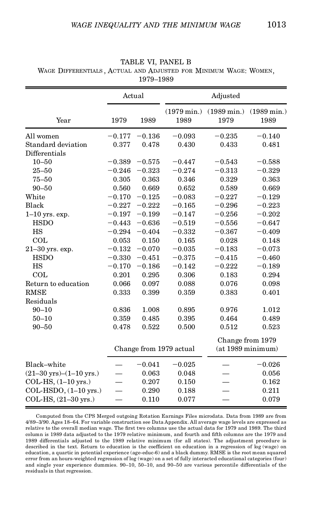|                                                | Actual   |          |                                  | Adjusted                         |                                       |  |  |
|------------------------------------------------|----------|----------|----------------------------------|----------------------------------|---------------------------------------|--|--|
| Year                                           | 1979     | 1989     | $(1979 \,\mathrm{min.})$<br>1989 | $(1989 \,\mathrm{min.})$<br>1979 | $(1989 \,\mathrm{min.})$<br>1989      |  |  |
| All women                                      | $-0.177$ | $-0.136$ | $-0.093$                         | $-0.235$                         | $-0.140$                              |  |  |
| Standard deviation                             | 0.377    | 0.478    | 0.430                            | 0.433                            | 0.481                                 |  |  |
| Differentials                                  |          |          |                                  |                                  |                                       |  |  |
| $10 - 50$                                      | $-0.389$ | $-0.575$ | $-0.447$                         | $-0.543$                         | $-0.588$                              |  |  |
| $25 - 50$                                      | $-0.246$ | $-0.323$ | $-0.274$                         | $-0.313$                         | $-0.329$                              |  |  |
| $75 - 50$                                      | 0.305    | 0.363    | 0.346                            | 0.329                            | 0.363                                 |  |  |
| $90 - 50$                                      | 0.560    | 0.669    | 0.652                            | 0.589                            | 0.669                                 |  |  |
| White                                          | $-0.170$ | $-0.125$ | $-0.083$                         | $-0.227$                         | $-0.129$                              |  |  |
| Black                                          | $-0.227$ | $-0.222$ | $-0.165$                         | $-0.296$                         | $-0.223$                              |  |  |
| $1-10$ yrs. exp.                               | $-0.197$ | $-0.199$ | $-0.147$                         | $-0.256$                         | $-0.202$                              |  |  |
| <b>HSDO</b>                                    | $-0.443$ | $-0.636$ | $-0.519$                         | $-0.556$                         | $-0.647$                              |  |  |
| HS                                             | $-0.294$ | $-0.404$ | $-0.332$                         | $-0.367$                         | $-0.409$                              |  |  |
| <b>COL</b>                                     | 0.053    | 0.150    | 0.165                            | 0.028                            | 0.148                                 |  |  |
| 21-30 yrs. exp.                                | $-0.132$ | $-0.070$ | $-0.035$                         | $-0.183$                         | $-0.073$                              |  |  |
| <b>HSDO</b>                                    | $-0.330$ | $-0.451$ | $-0.375$                         | $-0.415$                         | $-0.460$                              |  |  |
| HS                                             | $-0.170$ | $-0.186$ | $-0.142$                         | $-0.222$                         | $-0.189$                              |  |  |
| <b>COL</b>                                     | 0.201    | 0.295    | 0.306                            | 0.183                            | 0.294                                 |  |  |
| Return to education                            | 0.066    | 0.097    | 0.088                            | 0.076                            | 0.098                                 |  |  |
| <b>RMSE</b>                                    | 0.333    | 0.399    | 0.359                            | 0.383                            | 0.401                                 |  |  |
| Residuals                                      |          |          |                                  |                                  |                                       |  |  |
| $90 - 10$                                      | 0.836    | 1.008    | 0.895                            | 0.976                            | 1.012                                 |  |  |
| $50 - 10$                                      | 0.359    | 0.485    | 0.395                            | 0.464                            | 0.489                                 |  |  |
| $90 - 50$                                      | 0.478    | 0.522    | 0.500                            | 0.512                            | 0.523                                 |  |  |
|                                                |          |          | Change from 1979 actual          |                                  | Change from 1979<br>(at 1989 minimum) |  |  |
| Black-white                                    |          | $-0.041$ | $-0.025$                         |                                  | $-0.026$                              |  |  |
| $(21-30 \text{ yrs})$ - $(1-10 \text{ yrs})$ . |          | 0.063    | 0.048                            |                                  | 0.056                                 |  |  |
| $COL-HS, (1-10 yrs.)$                          |          | 0.207    | 0.150                            |                                  | 0.162                                 |  |  |
| $COL-HSDO, (1-10 yrs.)$                        |          | 0.290    | 0.188                            |                                  | 0.211                                 |  |  |
| $COL-HS, (21-30 \text{ yrs.})$                 |          | 0.110    | 0.077                            |                                  | 0.079                                 |  |  |

TABLE VI, PANEL B WAGE DIFFERENTIALS , ACTUAL AND ADJUSTED FOR MINIMUM WAGE: WOMEN, 1979–1989

Computed from the CPS Merged outgoing Rotation Earnings Files microdata. Data from 1989 are from 4/89–3/90. Ages 18–64. For variable construction see Data Appendix. All average wage levels are expressed as relative to the overall median wage. The first two columns use the actual data for 1979 and 1989. The third column is 1989 data adjusted to the 1979 relative minimum, and fourth and fth columns are the 1979 and 1989 differentials adjusted to the 1989 relative minimum (for all states). The adjustment procedure is described in the text. Return to education is the coefficient on education in a regression of log (wage) on education, a quartic in potential experience (age-educ-6) and a black dummy. RMSE is the root mean squared error from an hours-weighted regression of log (wage) on a set of fully interacted educational categories (four) and single year experience dummies. 90–10, 50–10, and 90–50 are various percentile differentials of the residuals in that regression.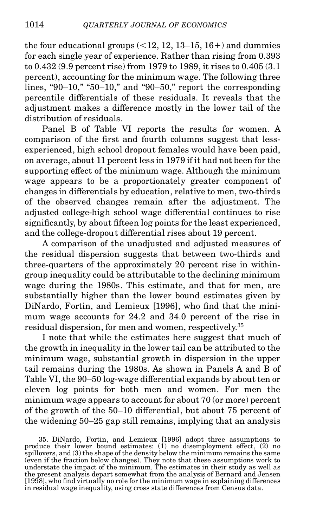the four educational groups  $($  < 12, 12, 13–15, 16+) and dummies for each single year of experience. Rather than rising from 0.393 to 0.432 (9.9 percent rise) from 1979 to 1989, it rises to 0.405 (3.1 percent), accounting for the minimum wage. The following three lines, "90–10," "50–10," and "90–50," report the corresponding percentile differentials of these residuals. It reveals that the adjustment makes a difference mostly in the lower tail of the distribution of residuals.

Panel B of Table VI reports the results for women. A comparison of the first and fourth columns suggest that lessexperienced, high school dropout females would have been paid, on average, about 11 percent less in 1979 if it had not been for the supporting effect of the minimum wage. Although the minimum wage appears to be a proportionately greater component of changes in differentials by education, relative to men, two-thirds of the observed changes remain after the adjustment. The adjusted college-high school wage differential continues to rise significantly, by about fifteen log points for the least experienced, and the college-dropout differential rises about 19 percent.

A comparison of the unadjusted and adjusted measures of the residual dispersion suggests that between two-thirds and three-quarters of the approximately 20 percent rise in within group inequality could be attributable to the declining minimum wage during the 1980s. This estimate, and that for men, are substantially higher than the lower bound estimates given by DiNardo, Fortin, and Lemieux [1996], who find that the minimum wage accounts for 24.2 and 34.0 percent of the rise in residual dispersion, for men and women, respectively.<sup>35</sup>

I note that while the estimates here suggest that much of the growth in inequality in the lower tail can be attributed to the minimum wage, substantial growth in dispersion in the upper tail remains during the 1980s. As shown in Panels A and B of Table VI, the 90–50 log-wage differential expands by about ten or eleven log points for both men and women. For men the minimum wage appears to account for about 70 (or more) percent of the growth of the 50–10 differential, but about 75 percent of the widening 50–25 gap still remains, implying that an analysis

<sup>35.</sup> DiNardo, Fortin, and Lemieux [1996] adopt three assumptions to produce their lower bound estimates: (1) no disemployment effect, (2) no produce their lower bound estimates: (1) no disemployment effect, (2) no expedilov understate the impact of the minimum. The estimates in their study as well as<br>the present analysis depart somewhat from the analysis of Bernard and Jensen<br>[1998], who find virtually no role for the minimum wage in explaini in residual wage inequality, using cross state differences from Census data.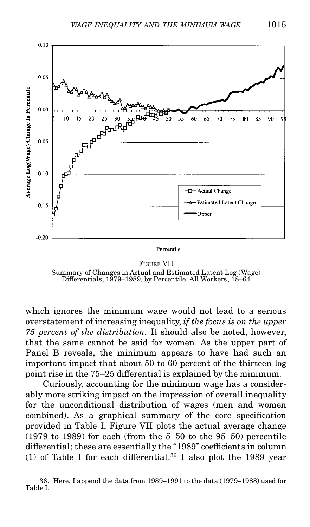

#### Percentile

#### FIGURE VII

 $-0.20$ 

Summary of Changes in Actual and Estimated Latent Log (Wage) Differentials, 1979–1989, by Percentile: All Workers, 18–64

which ignores the minimum wage would not lead to a serious overstatement of increasing inequality, *if the focus is on the upper 75 percent of the distribution.* It should also be noted, however, that the same cannot be said for women. As the upper part of Panel B reveals, the minimum appears to have had such an important impact that about 50 to 60 percent of the thirteen log point rise in the 75–25 differential is explained by the minimum.

Curiously, accounting for the minimum wage has a consider ably more striking impact on the impression of overall inequality for the unconditional distribution of wages (men and women combined). As a graphical summary of the core specification provided in Table I, Figure VII plots the actual average change (1979 to 1989) for each (from the 5–50 to the 95–50) percentile differential; these are essentially the "1989" coefficients in column (1) of Table I for each differential.<sup>36</sup> I also plot the 1989 year

<sup>36.</sup> Here, <sup>I</sup> append the data from 1989–1991 to the data (1979–1988) used for Table I.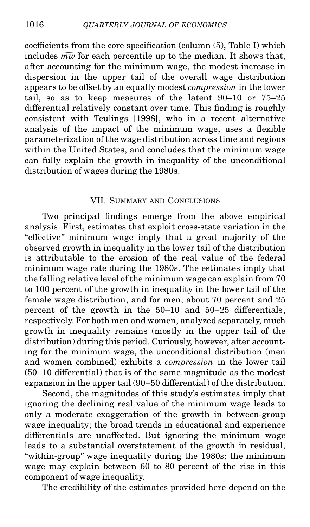coefficients from the core specification (column (5), Table I) which includes  $m\overline{w}$  for each percentile up to the median. It shows that, 1016 QUARTERLY JOURNAL OF ECONOMICS<br>coefficients from the core specification (column  $(5)$ , Table I) which<br>includes  $\overline{mw}$  for each percentile up to the median. It shows that,<br>after accounting for the minimum wage, the dispersion in the upper tail of the overall wage distribution appears to be offset by an equally modest *compression* in the lower tail, so as to keep measures of the latent 90–10 or 75–25 differential relatively constant over time. This finding is roughly consistent with Teulings [1998], who in a recent alternative analysis of the impact of the minimum wage, uses a flexible parameterization of the wage distribution across time and regions within the United States, and concludes that the minimum wage can fully explain the growth in inequality of the unconditional distribution of wages during the 1980s.

### VII. SUMMARY AND CONCLUSIONS

Two principal findings emerge from the above empirical analysis. First, estimates that exploit cross-state variation in the ''effective'' minimum wage imply that a great majority of the observed growth in inequality in the lower tail of the distribution is attributable to the erosion of the real value of the federal minimum wage rate during the 1980s. The estimates imply that the falling relative level of the minimum wage can explain from 70 to 100 percent of the growth in inequality in the lower tail of the female wage distribution, and for men, about 70 percent and 25 percent of the growth in the  $50-10$  and  $50-25$  differentials, respectively. For both men and women, analyzed separately, much growth in inequality remains (mostly in the upper tail of the distribution) during this period. Curiously, however, after accounting for the minimum wage, the unconditional distribution (men and women combined) exhibits a *compression* in the lower tail (50–10 differential) that is of the same magnitude as the modest expansion in the upper tail (90–50 differential) of the distribution.

Second, the magnitudes of this study's estimates imply that ignoring the declining real value of the minimum wage leads to only a moderate exaggeration of the growth in between-group wage inequality; the broad trends in educational and experience differentials are unaffected. But ignoring the minimum wage leads to a substantial overstatement of the growth in residual, "within-group" wage inequality during the 1980s; the minimum wage may explain between 60 to 80 percent of the rise in this component of wage inequality.

The credibility of the estimates provided here depend on the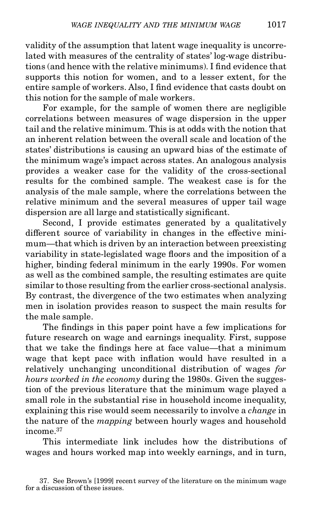validity of the assumption that latent wage inequality is uncorrelated with measures of the centrality of states' log-wage distributions (and hence with the relative minimums). I find evidence that supports this notion for women, and to a lesser extent, for the entire sample of workers. Also, I find evidence that casts doubt on this notion for the sample of male workers.

For example, for the sample of women there are negligible correlations between measures of wage dispersion in the upper tail and the relative minimum. This is at odds with the notion that an inherent relation between the overall scale and location of the states' distributions is causing an upward bias of the estimate of the minimum wage's impact across states. An analogous analysis provides a weaker case for the validity of the cross-sectional results for the combined sample. The weakest case is for the analysis of the male sample, where the correlations between the relative minimum and the several measures of upper tail wage dispersion are all large and statistically significant.

Second, I provide estimates generated by a qualitatively different source of variability in changes in the effective mini mum—that which is driven by an interaction between preexisting variability in state-legislated wage floors and the imposition of a higher, binding federal minimum in the early 1990s. For women as well as the combined sample, the resulting estimates are quite similar to those resulting from the earlier cross-sectional analysis. By contrast, the divergence of the two estimates when analyzing men in isolation provides reason to suspect the main results for the male sample.

The findings in this paper point have a few implications for future research on wage and earnings inequality. First, suppose that we take the findings here at face value—that a minimum wage that kept pace with inflation would have resulted in a relatively unchanging unconditional distribution of wages *for hours worked in the economy* during the 1980s. Given the sugges tion of the previous literature that the minimum wage played a small role in the substantial rise in household income inequality, explaining this rise would seem necessarily to involve a *change* in the nature of the *mapping* between hourly wages and household income.<sup>37</sup>

This intermediate link includes how the distributions of wages and hours worked map into weekly earnings, and in turn,

37. See Brown's [1999] recent survey of the literature on the minimum wage for a discussion of these issues.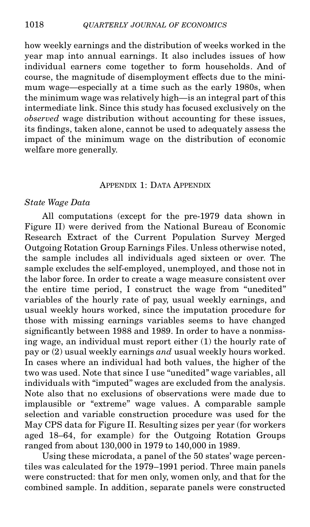how weekly earnings and the distribution of weeks worked in the year map into annual earnings. It also includes issues of how individual earners come together to form households. And of course, the magnitude of disemployment effects due to the mini mum wage—especially at a time such as the early 1980s, when the minimum wage was relatively high—is an integral part of this intermediate link. Since this study has focused exclusively on the *observed* wage distribution without accounting for these issues, its findings, taken alone, cannot be used to adequately assess the impact of the minimum wage on the distribution of economic welfare more generally.

# APPENDIX 1: DATA APPENDIX

#### *State Wage Data*

All computations (except for the pre-1979 data shown in Figure II) were derived from the National Bureau of Economic Research Extract of the Current Population Survey Merged Outgoing Rotation Group Earnings Files. Unless otherwise noted, the sample includes all individuals aged sixteen or over. The sample excludes the self-employed, unemployed, and those not in the labor force. In order to create a wage measure consistent over the entire time period, I construct the wage from ''unedited'' variables of the hourly rate of pay, usual weekly earnings, and usual weekly hours worked, since the imputation procedure for those with missing earnings variables seems to have changed significantly between 1988 and 1989. In order to have a nonmissing wage, an individual must report either (1) the hourly rate of pay or (2) usual weekly earnings *and* usual weekly hours worked. In cases where an individual had both values, the higher of the two was used. Note that since I use "unedited" wage variables, all individuals with ''imputed'' wages are excluded from the analysis. Note also that no exclusions of observations were made due to implausible or "extreme" wage values. A comparable sample selection and variable construction procedure was used for the May CPS data for Figure II. Resulting sizes per year (for workers aged 18–64, for example) for the Outgoing Rotation Groups ranged from about 130,000 in 1979 to 140,000 in 1989.

Using these microdata, a panel of the 50 states' wage percentiles was calculated for the 1979–1991 period. Three main panels were constructed: that for men only, women only, and that for the combined sample. In addition, separate panels were constructed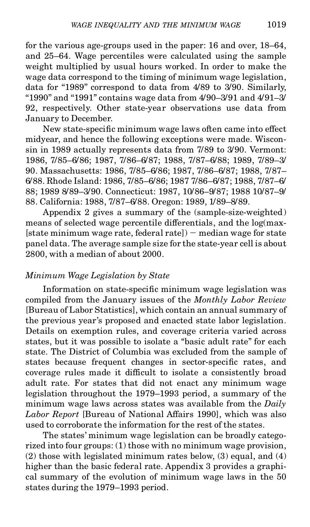for the various age-groups used in the paper: 16 and over, 18–64, and 25–64. Wage percentiles were calculated using the sample weight multiplied by usual hours worked. In order to make the wage data correspond to the timing of minimum wage legislation, data for "1989" correspond to data from  $4/89$  to  $3/90$ . Similarly, "1990" and "1991" contains wage data from  $4/90-3/91$  and  $4/91-3/$ 92, respectively. Other state-year observations use data from January to December.

New state-specific minimum wage laws often came into effect midyear, and hence the following exceptions were made. Wiscon sin in 1989 actually represents data from 7/89 to 3/90. Vermont: 1986, 7/85–6/86; 1987, 7/86–6/87; 1988, 7/87–6/88; 1989, 7/89–3/ 90. Massachusetts: 1986, 7/85–6/86; 1987, 7/86–6/87; 1988, 7/87– 6/88. Rhode Island: 1986, 7/85–6/86; 1987 7/86–6/87; 1988, 7/87–6/ 88; 1989 8/89–3/90. Connecticut: 1987, 10/86–9/87; 1988 10/87–9/ 88. California: 1988, 7/87–6/88. Oregon: 1989, 1/89–8/89.

Appendix 2 gives a summary of the (sample-size-weighted) means of selected wage percentile differentials, and the log(max- [state minimum wage rate, federal rate])  $-$  median wage for state panel data. The average sample size for the state-year cell is about 2800, with a median of about 2000.

### *Minimum Wage Legislation by State*

Information on state-specific minimum wage legislation was compiled from the January issues of the *Monthly Labor Review* [Bureau of Labor Statistics], which contain an annual summary of the previous year's proposed and enacted state labor legislation. Details on exemption rules, and coverage criteria varied across states, but it was possible to isolate a "basic adult rate" for each state. The District of Columbia was excluded from the sample of states because frequent changes in sector-specific rates, and coverage rules made it difficult to isolate a consistently broad adult rate. For states that did not enact any minimum wage legislation throughout the 1979–1993 period, a summary of the minimum wage laws across states was available from the *Daily Labor Report* [Bureau of National Affairs 1990], which was also used to corroborate the information for the rest of the states.

The states' minimum wage legislation can be broadly catego rized into four groups: (1) those with no minimum wage provision, (2) those with legislated minimum rates below, (3) equal, and (4) higher than the basic federal rate. Appendix 3 provides a graphi cal summary of the evolution of minimum wage laws in the 50 states during the 1979–1993 period.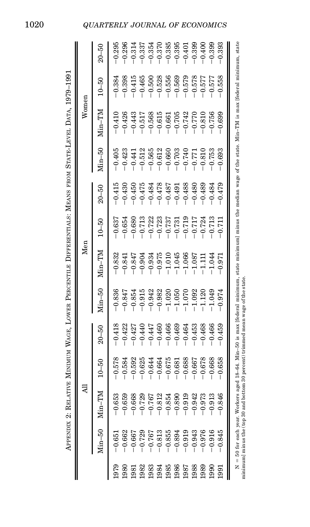|      |          | 티                                |           |           |          | Men      |           |           |                      | $\rm{Womer}$ |           |           |
|------|----------|----------------------------------|-----------|-----------|----------|----------|-----------|-----------|----------------------|--------------|-----------|-----------|
|      | $Min-50$ | $Min-TM$                         | $10 - 50$ | $20 - 50$ | $Min-50$ | $Min-TM$ | $10 - 50$ | $20 - 50$ | $Min-50$             | $Min-TM$     | $10 - 50$ | $20 - 50$ |
| 979  | $-0.651$ | $-0.653$                         | $-0.578$  | $-0.418$  | $-0.836$ | $-0.832$ | $-0.637$  | $-0.415$  | $-0.405$             | $-0.410$     | $-0.384$  | $-0.295$  |
| 980  | $-0.662$ | $-0.659$                         | $-0.584$  | $-0.422$  | $-0.847$ | $-0.841$ | $-0.654$  | $-0.430$  | $-0.423$             | $-0.426$     | $-0.398$  | $-0.296$  |
| 981  | $-0.667$ | $-0.668$                         | $-0.592$  | $-0.427$  | $-0.854$ | $-0.847$ | $-0.680$  | $-0.450$  | $-0.441$             | $-0.443$     | $-0.415$  | $-0.314$  |
| 1982 | $-0.729$ | $-0.729$                         | $-0.625$  | $-0.440$  | $-0.915$ | $-0.904$ | $-0.713$  | $-0.475$  | $-0.512$             | $-0.517$     | $-0.465$  | $-0.337$  |
| 1983 | $-0.767$ | $-0.767$<br>$-0.812$<br>$-0.854$ | $-0.644$  | $-0.447$  | $-0.942$ | $-0.934$ | $-0.722$  | $-0.484$  | $-0.565$             | $-0.568$     | $-0.500$  | $-0.354$  |
| 1984 | $-0.813$ |                                  | $-0.664$  | $-0.460$  | $-0.982$ | $-0.975$ | $-0.723$  | $-0.478$  | $-0.612$             | $-0.615$     | $-0.528$  | $-0.370$  |
| 1985 | $-0.855$ |                                  | $-0.675$  | $-0.466$  | $-1.020$ | $-1.010$ | $-0.737$  | $-0.487$  | $-0.660$<br>$-0.703$ | $-0.661$     | $-0.556$  | $-0.385$  |
| 1986 | $-0.894$ | $-0.890$                         | $-0.681$  | $-0.469$  | $-1.050$ | $-1.045$ | $-0.731$  | $-0.491$  |                      | $-0.705$     | $-0.569$  | $-0.395$  |
| 1987 | $-0.919$ | $-0.919$                         | $-0.688$  | $-0.464$  | $-1.070$ | $-1.066$ | $-0.719$  | $-0.488$  | $-0.740$             | $-0.742$     | $-0.579$  | $-0.401$  |
| 1988 | $-0.943$ | $-0.942$                         | $-0.667$  | $-0.453$  | $-1.092$ | $-1.087$ | $-0.717$  | $-0.480$  | $-0.771$<br>$-0.810$ | $-0.770$     | $-0.578$  | $-0.399$  |
| 989  | $-0.976$ | $-0.973$                         | $-0.678$  | $-0.468$  | 1.120    | $-1.111$ | $-0.724$  | $-0.489$  |                      | $-0.810$     | $-0.577$  | $-0.400$  |
| 0661 | $-0.916$ | $-0.913$                         | $-0.668$  | $-0.466$  | $-1.049$ | $-1.044$ | $-0.713$  | $-0.484$  | $-0.753$             | $-0.756$     | $-0.577$  | $-0.399$  |
| 1991 | $-0.845$ | $-0.846$                         | $-0.658$  | 0.459     | $-0.974$ | $-0.971$ | $-0.71$   | $-0.479$  | $-0.693$             | $-0.699$     | $-0.558$  | $-0.393$  |
|      |          |                                  |           |           |          |          |           |           |                      |              |           |           |

minimum] minus the (top 30 and bottom 30 percent) trimmed mean wage of the state.

APPENDIX 2: RELATIVE MINIMUM WAGE, LOWER PERCENTILE DIFFERENTIALS: MEANS FROM STATE-LEVEL DATA, 1979-1991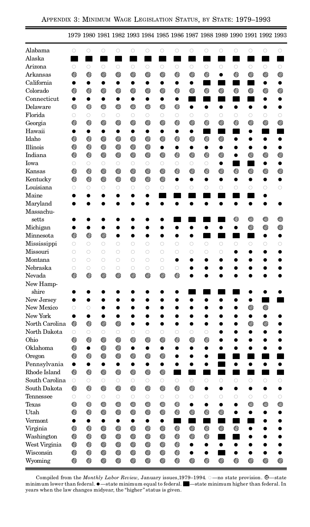1979 1980 1981 1982 1993 1984 1985 1986 1987 1988 1989 1990 1991 1992 1993

| Alabama                  | $\bigcirc$   | $\bigcirc$   | $\bigcirc$   | $\bigcirc$   | $\bigcirc$   | $\circlearrowright$ | $\bigcirc$ | $\bigcirc$ | $\bigcirc$             | $\bigcirc$ | $\bigcirc$ | $\bigcirc$ | $\circlearrowright$ | $\circlearrowright$ | $\bigcirc$ |
|--------------------------|--------------|--------------|--------------|--------------|--------------|---------------------|------------|------------|------------------------|------------|------------|------------|---------------------|---------------------|------------|
| Alaska                   |              |              |              |              |              |                     |            |            |                        |            |            |            |                     |                     |            |
| Arizona                  | $\circ$      | $\circ$      | $\circ$      | $\circ$      | $\circ$      | $\circ$             | $\circ$    | $\bigcirc$ | $\bigcirc$             | $\circ$    | $\circ$    | $\circ$    | $\circ$             | $\circ$             | $\circ$    |
| Arkansas                 | 0            | 0            | 0            | 0            | 0            | 0                   | 0          | 0          | 0                      | 0          | $\bullet$  | 0          | 0                   | 0                   | 0          |
| California               | $\bullet$    | $\bullet$    | $\bullet$    | $\bullet$    | $\bullet$    | $\bullet$           | $\bullet$  | $\bullet$  | $\bullet$              | a an       | L          | ▀          |                     | $\bullet$           | $\bullet$  |
| Colorado                 | 0            | 0            | 0            | 0            | 0            | 0                   | 0          | 0          | 0                      | 0          | 0          | 0          | 0                   | 0                   | 0          |
| Connecticut              | $\bullet$    | $\bullet$    | $\bullet$    | $\bullet$    | $\bullet$    | $\bullet$           | $\bullet$  | $\bullet$  |                        |            |            |            |                     | $\bullet$           | $\bullet$  |
| Delaware                 | 0            | ◉            | 0            | 0            | 0            | 0                   | 0          | 0          | $\bullet$              | $\bullet$  | $\bullet$  | $\bullet$  | $\bullet$           | $\bullet$           | $\bullet$  |
| Florida                  | $\circ$      | $\circ$      | $\circ$      | $\circ$      | $\circ$      | $\circ$             | $\circ$    | $\circ$    | $\circ$                | $\circ$    | $\circ$    | $\circ$    | $\circ$             | $\circ$             | $\circ$    |
| Georgia                  | 0            | 0            | 0            | 0            | 0            | 0                   | 0          | 0          | 0                      | 0          | 0          | 0          | 0                   | 0                   | 0          |
| Hawaii                   | $\bullet$    | $\bullet$    | $\bullet$    | $\bullet$    | $\bullet$    | $\bullet$           | $\bullet$  | $\bullet$  | $\bullet$              |            |            |            | $\bullet$           |                     |            |
| Idaho                    | 0            | 0            | 0            | 0            | 0            | 0                   | 0          | 0          | 0                      | 0          | 0          | $\bullet$  |                     | $\bullet$           | $\bullet$  |
| <b>Illinois</b>          | 0            | 0            | 0            | 0            | 0            | 0                   | $\bullet$  | $\bullet$  | $\bullet$              | $\bullet$  | $\bullet$  | e          |                     |                     | $\bullet$  |
| Indiana                  | 0            | 0            | 0            | 0            | 0            | 0                   | 0          | 0          | 0                      | 0          | 0          | $\bullet$  | 0                   | 0                   | 0          |
| Iowa                     | $\circ$      | $\circ$      | $\circ$      | $\circ$      | $\circ$      | $\circ$             | $\circ$    | $\circ$    | $\circ$                | $\circ$    | $\bullet$  |            |                     | $\bullet$           | $\bullet$  |
| Kansas                   | O            | 0            | 0            | 0            | 0            | 0                   | 0          | 0          | 0                      | 0          | 0          | 0          | 0                   | ◉                   | 0          |
| Kentucky                 | 0            | 0            | 0            | 0            | ♠            | 0                   | 0          | $\bullet$  | $\bullet$              | $\bullet$  | $\bullet$  | $\bullet$  | $\bullet$           | $\bullet$           | $\bullet$  |
| Louisiana                | $\circ$      | $\circ$      | $\circ$      | $\circ$      | $\circ$      | $\circ$             | $\circ$    | $\circ$    | $\circ$                | $\circ$    | $\circ$    | $\circ$    | $\circ$             | $\circ$             | $\circ$    |
| Maine                    | $\bullet$    | $\bullet$    | $\bullet$    | $\bullet$    | $\bullet$    | $\bullet$           |            |            |                        |            |            |            |                     | $\bullet$           |            |
| Maryland                 | $\bullet$    | $\bullet$    | $\bullet$    |              | $\bullet$    | $\bullet$           | $\bullet$  | $\bullet$  | $\bullet$              | $\bullet$  | $\bullet$  | $\bullet$  | $\bullet$           |                     | $\bullet$  |
| Massachu-                |              |              |              |              |              |                     |            |            |                        |            |            |            |                     |                     |            |
| setts                    | Ð            |              |              |              |              |                     |            |            |                        |            |            | 0          | 0                   | 0                   | 0          |
| Michigan                 | $\bullet$    | $\bullet$    | $\bullet$    |              |              | ٠                   | $\bullet$  |            |                        |            |            | $\bullet$  | 0                   | ◉                   | 0          |
| Minnesota                | 0            | ◉            | 0            | $\bullet$    | $\bullet$    | $\bullet$           | $\bullet$  | $\bullet$  | ٠                      |            |            |            |                     | $\bullet$           | $\bullet$  |
| Mississippi              | $\bigcirc$   | $\bigcirc$   | $\bigcirc$   | $\circ$      | $\circ$      | $\circ$             | $\circ$    | $\circ$    | $\circ$                | $\bigcirc$ | $\circ$    | $\circ$    | $\bigcirc$          | $\circ$             | $\circ$    |
| Missouri                 | $\circ$      | $\circ$      | $\circ$      | $\circ$      | $\circ$      | $\circ$             | $\circ$    | $\circ$    | $\circ$                | $\circ$    | $\circ$    | $\bullet$  | $\bullet$           | $\bullet$           | $\bullet$  |
| Montana                  | $\circ$      | $\circ$      | $\circ$      | $\circ$      | $\bigcirc$   | $\bigcirc$          | $\circ$    | $\bullet$  | $\bullet$              | $\bullet$  | $\bullet$  | $\bullet$  | $\bullet$           |                     | $\bullet$  |
| Nebraska                 |              |              |              |              |              |                     | $\circ$    | $\circ$    |                        |            |            |            |                     |                     |            |
| Nevada                   | $\circ$<br>0 | $\circ$<br>◉ | $\circ$<br>0 | $\circ$<br>0 | $\circ$<br>0 | $\circ$<br>0        | 0          | 0          | $\bullet$<br>$\bullet$ |            |            |            |                     |                     |            |
|                          |              |              |              |              |              |                     |            |            |                        |            |            |            |                     |                     |            |
| New Hamp-                |              |              |              |              |              |                     |            |            |                        |            |            |            |                     |                     |            |
| shire                    | $\bullet$    | $\bullet$    |              |              |              |                     |            |            |                        |            |            |            |                     |                     |            |
| New Jersey<br>New Mexico |              | $\bullet$    | $\bullet$    |              | $\bullet$    |                     |            |            |                        |            |            |            | $\bullet$<br>0      | 0                   |            |
|                          | $\circ$      | $\circ$      | $\bullet$    | $\bullet$    | $\bullet$    | $\bullet$           | $\bullet$  | $\bullet$  | $\bullet$              |            |            |            |                     |                     |            |
| New York                 | $\bullet$    | $\bullet$    | $\bullet$    | $\bullet$    | $\bullet$    | $\bullet$           | $\bullet$  | $\bullet$  | ٠                      | 0          |            |            | $\bullet$           | $\bullet$           |            |
| North Carolina           | O            | 0            | 0            | 0            | $\bullet$    | $\bullet$           | $\bullet$  | $\bullet$  | $\bullet$              | $\bullet$  |            |            | ◉                   | ◉                   | $\bullet$  |
| North Dakota             | $\circ$      | $\circ$      | $\circ$      | $\circ$      | $\circ$      | $\circ$             | $\circ$    | $\circ$    | $\circ$                | $\circ$    |            |            | $\bullet$           |                     |            |
| Ohio                     | Q            | 0            | 0            | 0            | 0            | 0                   | 0          | 0          | 0                      | 0          | $\bullet$  | 0          | $\bullet$           |                     | $\bullet$  |
| Oklahoma                 | 0            | $\bullet$    | 0            | 0            | $\bullet$    | $\bullet$           | $\bullet$  | $\bullet$  | $\bullet$              | $\bullet$  |            |            |                     |                     |            |
| Oregon                   | 0            | 0            | 0            | 0            | 0            | 0                   | 0          | $\bullet$  | $\bullet$              | $\bullet$  |            |            |                     |                     |            |
| Pennsylvania             | $\bullet$    | $\bullet$    | $\bullet$    | $\bullet$    | $\bullet$    | $\bullet$           | $\bullet$  | $\bullet$  | $\bullet$              | $\bullet$  |            | $\bullet$  | $\bullet$           | $\bullet$           | $\bullet$  |
| Rhode Island             | 0            | 0            | 0            | 0            | 0            | 0                   | 0          |            |                        |            |            |            |                     |                     |            |
| South Carolina           | $\circ$      | $\bigcirc$   | $\bigcirc$   | $\circ$      | $\bigcirc$   | $\bigcirc$          | $\circ$    | $\bigcirc$ | $\bigcirc$             | $\circ$    | $\circ$    | $\circ$    | $\circ$             | $\circ$             | $\circ$    |
| South Dakota             | O            | 0            | 0            | 0            | 0            | 0                   | 0          | 0          | 0                      | $\bullet$  | $\bullet$  | $\bullet$  | $\bullet$           | $\bullet$           | $\bullet$  |
| Tennessee                | $\circ$      | $\circ$      | $\circ$      | $\circ$      | $\circ$      | $\circ$             | $\circ$    | $\circ$    | $\circ$                | $\circ$    | $\circ$    | $\circ$    | $\circ$             | $\circ$             | $\circ$    |
| Texas                    | 0            | 0            | 0            | 0            | 0            | 0                   | 0          | 0          | $\bullet$              | $\bullet$  | $\bullet$  | $\bullet$  | 0                   | 0                   | 0          |
| Utah                     | 0            | 0            | 0            | 0            | 0            | 0                   | 0          | 0          | 0                      | 0          | 0          | $\bullet$  | $\bullet$           | $\bullet$           | $\bullet$  |
| Vermont                  | $\bullet$    | $\bullet$    | $\bullet$    | $\bullet$    | $\bullet$    | $\bullet$           | $\bullet$  | L          | m.                     | e e s      | i vite     |            |                     | $\bullet$           |            |
| Virginia                 | 0            | ⊕            | 0            | 0            | ●            | 0                   | 0          | ♠          | 0                      | 0          | 0          | 0          | $\bullet$           |                     |            |
| Washington               | 0            | 0            | 0            | 0            | 0            | 0                   | 0          | 0          | 0                      | 0          |            |            | $\bullet$           |                     |            |
| West Virginia            | 0            | 0            | 0            | 0            | 0            | 0                   | 0          | 0          | $\bullet$              | $\bullet$  | $\bullet$  | $\bullet$  | $\bullet$           |                     | 0          |
| Wisconsin                | 0            | 0            | 0            | 0            | 0            | 0                   | 0          | ♠          | $\bullet$              | $\bullet$  |            | $\bullet$  | $\bullet$           | ●                   | ●          |
| Wyoming                  | 0            | 0            | 0            | 0            | 0            | 0                   | 0          | 0          | 0                      | 0          | 0          | 0          | 0                   | 0                   | 0          |

Compiled from the *Monthly Labor Review,* January issues,1979–1994. ○—no state provision. ●—state minimum lower than federal. ●—state minimum equal to federal. ■—state minimum higher than federal. In years when the law changes midyear, the "higher" status is given.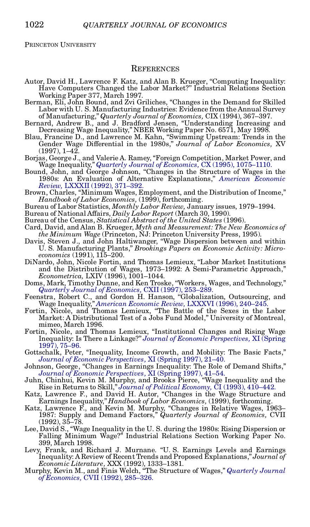#### PRINCETON UNIVERSITY

#### **REFERENCES**

- Autor, David H., Lawrence F. Katz, and Alan B. Krueger, "Computing Inequality: Have Computers Changed the Labor Market?" Industrial Relations Section Working Paper 377, March 1997.
- Berman, Eli, John Bound, and Zvi Griliches, "Changes in the Demand for Skilled Labor with U. S. Manufacturing Industries: Evidence from the Annual Survey of Manufacturing,'' *Quarterly Journal of Economics,* CIX (1994), 367–397.
- Bernard, Andrew B., and J. Bradford Jensen, ''Understanding Increasing and
- Decreasing Wage Inequality," NBER Working Paper No. 6571, May 1998.<br>Blau, Francine D., and Lawrence M. Kahn, "Swimming Upstream: Trends in the Gender Wage Differential in the 1980s," Journal of Labor Economics, XV (1997),
- Borjas, George J., and Valerie A. Ramey, "Foreign Competition, Market Power, and
- Wage Inequality," *Quarterly Journal of Economics*, CX (1995), [1075–1110.](http://fiordiliji.ingentaselect.com/nw=1/rpsv/cgi-bin/linker?ext=a&reqidx=/0033-5533^28^29110L.1075[aid=324772])<br>Bound, John, and George Johnson, "Changes in the Structure of Wages in the 1980s: An Evaluation of Alternative Explanations," American Economic 1980s: An Evaluation of Alternative Explanations, the Alternative Economic *Review*, LXXXII (1992), [371–392.](http://fiordiliji.ingentaselect.com/nw=1/rpsv/cgi-bin/linker?ext=a&reqidx=/0002-8282^28^2982L.371[aid=41777,nlm=10118911]) Brown, Charles, "Minimum Wages, Employment, and the Distribution of Income,"
- *Handbook of Labor Economics,* (1999), forthcoming.
- Bureau of Labor Statistics, *Monthly Labor Review,* January issues, 1979–1994.<br>Bureau of National Affairs, *Daily Labor Report* (March 30, 1990).<br>Bureau of the Census, *Statistical Abstract of the United States* (1996).
- 
- 
- Card, David, and Alan B. Krueger, *Myth and Measurement: The New Economics of*
- Davis, Steven J., and John Haltiwanger, "Wage Dispersion between and within U.S. Manufacturing Plants," Brookings Papers on Economic Activity: Micro*economics* (1991), 115–200.
- DiNardo, John, Nicole Fortin, and Thomas Lemieux, ''Labor Market Institutions and the Distribution of Wages, 1973–1992: <sup>A</sup> Semi-Parametric Approach,'' *Econometrica,* LXIV (1996), 1001–1044.
- Doms, Mark, Timothy Dunne, and Ken Troske, ''Workers, Wages, and Technology,'' *Quarterly Journal of [Economics,](http://fiordiliji.ingentaselect.com/nw=1/rpsv/cgi-bin/linker?ext=a&reqidx=/0033-5533^28^29112L.253[aid=225055,cw=1])* CXII (1997), 253–289. Feenstra, Robert C., and Gordon H. Hanson, ''Globalization, Outsourcing, and
- Wage Inequality,'' *American [Economic](http://fiordiliji.ingentaselect.com/nw=1/rpsv/cgi-bin/linker?ext=a&reqidx=/0002-8282^28^2986L.240[aid=848854]) Review,* LXXXVI (1996), 240–245.
- Market: A Distributional Test of a Jobs Fund Model," University of Montreal, mimeo, March 1996.<br>Fortin, Nicole, and Thomas Lemieux, "Institutional Changes and Rising Wage
- Inequality: Is There a Linkage?'' *Journal of Economic [Perspectives,](http://fiordiliji.ingentaselect.com/nw=1/rpsv/cgi-bin/linker?ext=a&reqidx=/0895-3309^28^2911L.75[aid=364482])* XI (Spring
- 1997), [75–96.](http://fiordiliji.ingentaselect.com/nw=1/rpsv/cgi-bin/linker?ext=a&reqidx=/0895-3309^28^2911L.75[aid=364482]) Gottschalk, Peter, ''Inequality, Income Growth, and Mobility: The Basic Facts,'' *Journal of Economic [Perspectives,](http://fiordiliji.ingentaselect.com/nw=1/rpsv/cgi-bin/linker?ext=a&reqidx=/0895-3309^28^2911L.21[aid=91430])* XI (Spring 1997), 21–40.
- Johnson, George, "Changes in Earnings Inequality: The Role of Demand Shifts," Journal of Economic Perspectives, XI (Spring 1997), 41–54.
- Juhn, Chinhui, Kevin M. Murphy, and Brooks Pierce, "Wage Inequality and the Rise in Returns to Skill," Journal of Political [Economy,](http://fiordiliji.ingentaselect.com/nw=1/rpsv/cgi-bin/linker?ext=a&reqidx=/0022-3808^28^29101L.410[aid=41723]) CI (1993), 410–442.
- Katz, Lawrence F., and David H. Autor, ''Changes in the Wage Structure and Earnings Inequality,'' *Handbook of Labor Economics,* (1999), forthcoming. Katz, Lawrence F., and Kevin M. Murphy, ''Changes in Relative Wages, 1963–
- 1987: Supply and Demand Factors,'' *Quarterly Journal of Economics,* CVII
- (1992), 35–78. Lee, David S., ''Wage Inequality in the U. S. during the 1980s: Rising Dispersion or Falling Minimum Wage?'' Industrial Relations Section Working Paper No.
- Levy, Frank, and Richard J. Murnane. "U. S. Earnings Levels and Earnings Inequality: A Review of Recent Trends and Proposed Explanations,'' *Journal of Economic Literature,* XXX (1992), 1333–1381.
- Murphy, Kevin M., and Finis Welch, ''The Structure of Wages,'' *[Quarterly](http://fiordiliji.ingentaselect.com/nw=1/rpsv/cgi-bin/linker?ext=a&reqidx=/0033-5533^28^29107L.285[aid=329243]) Journal of [Economics,](http://fiordiliji.ingentaselect.com/nw=1/rpsv/cgi-bin/linker?ext=a&reqidx=/0033-5533^28^29107L.285[aid=329243])* CVII (1992), 285–326.